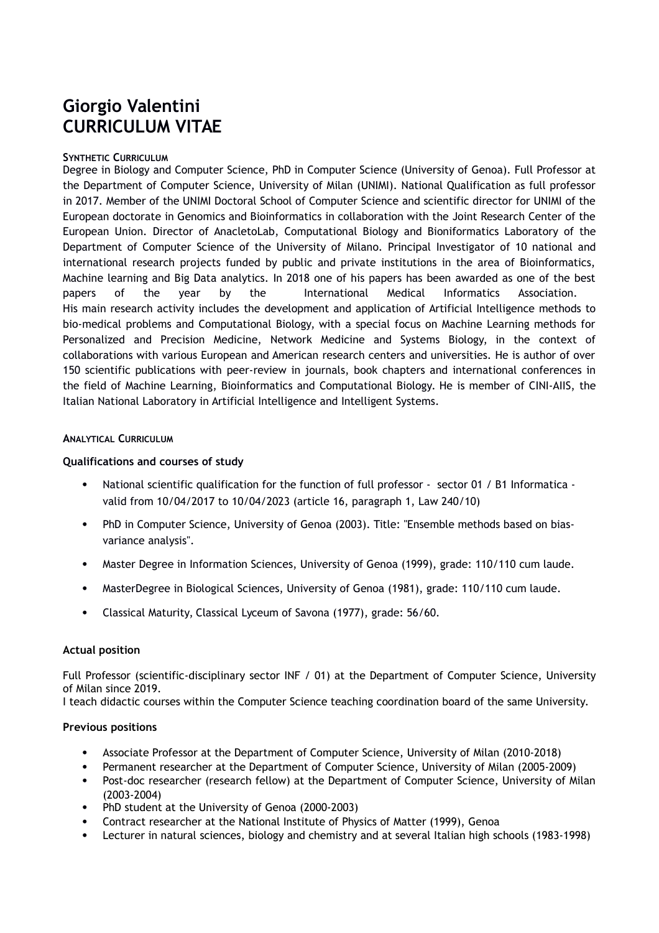# **Giorgio Valentini CURRICULUM VITAE**

### **SYNTHETIC CURRICULUM**

Degree in Biology and Computer Science, PhD in Computer Science (University of Genoa). Full Professor at the Department of Computer Science, University of Milan (UNIMI). National Qualification as full professor in 2017. Member of the UNIMI Doctoral School of Computer Science and scientific director for UNIMI of the European doctorate in Genomics and Bioinformatics in collaboration with the Joint Research Center of the European Union. Director of AnacletoLab, Computational Biology and Bioniformatics Laboratory of the Department of Computer Science of the University of Milano. Principal Investigator of 10 national and international research projects funded by public and private institutions in the area of Bioinformatics, Machine learning and Big Data analytics. In 2018 one of his papers has been awarded as one of the best papers of the year by the International Medical Informatics Association. His main research activity includes the development and application of Artificial Intelligence methods to bio-medical problems and Computational Biology, with a special focus on Machine Learning methods for Personalized and Precision Medicine, Network Medicine and Systems Biology, in the context of collaborations with various European and American research centers and universities. He is author of over 150 scientific publications with peer-review in journals, book chapters and international conferences in the field of Machine Learning, Bioinformatics and Computational Biology. He is member of CINI-AIIS, the Italian National Laboratory in Artificial Intelligence and Intelligent Systems.

#### **ANALYTICAL CURRICULUM**

#### **Qualifications and courses of study**

- National scientific qualification for the function of full professor sector 01 / B1 Informatica valid from 10/04/2017 to 10/04/2023 (article 16, paragraph 1, Law 240/10)
- PhD in Computer Science, University of Genoa (2003). Title: "Ensemble methods based on biasvariance analysis".
- Master Degree in Information Sciences, University of Genoa (1999), grade: 110/110 cum laude.
- MasterDegree in Biological Sciences, University of Genoa (1981), grade: 110/110 cum laude.
- Classical Maturity, Classical Lyceum of Savona (1977), grade: 56/60.

#### **Actual position**

Full Professor (scientific-disciplinary sector INF / 01) at the Department of Computer Science, University of Milan since 2019.

I teach didactic courses within the Computer Science teaching coordination board of the same University.

#### **Previous positions**

- Associate Professor at the Department of Computer Science, University of Milan (2010-2018)
- Permanent researcher at the Department of Computer Science, University of Milan (2005-2009)
- Post-doc researcher (research fellow) at the Department of Computer Science, University of Milan (2003-2004)
- PhD student at the University of Genoa (2000-2003)
- Contract researcher at the National Institute of Physics of Matter (1999), Genoa
- Lecturer in natural sciences, biology and chemistry and at several Italian high schools (1983-1998)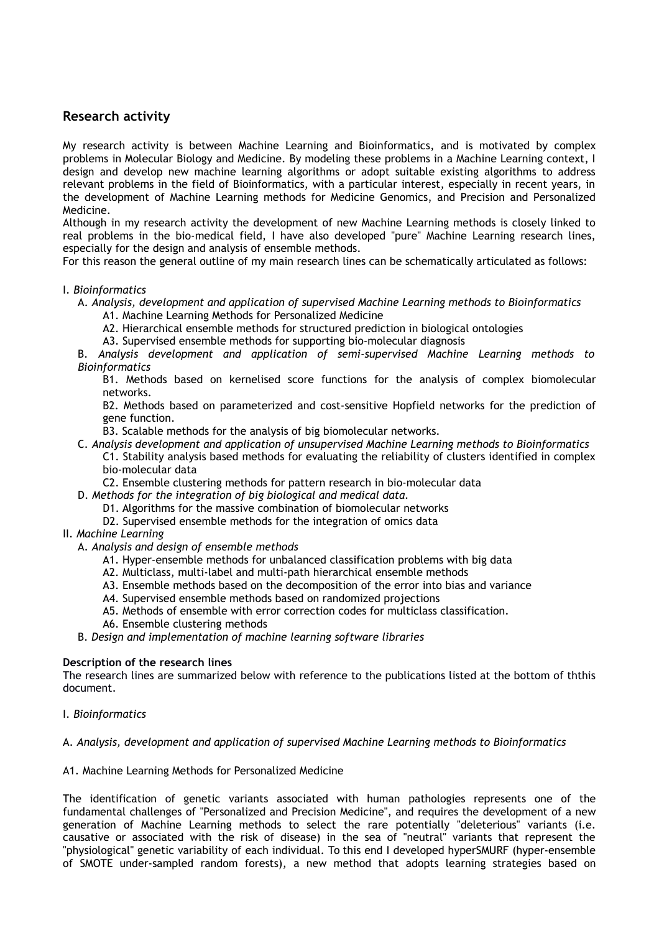# **Research activity**

My research activity is between Machine Learning and Bioinformatics, and is motivated by complex problems in Molecular Biology and Medicine. By modeling these problems in a Machine Learning context, I design and develop new machine learning algorithms or adopt suitable existing algorithms to address relevant problems in the field of Bioinformatics, with a particular interest, especially in recent years, in the development of Machine Learning methods for Medicine Genomics, and Precision and Personalized Medicine.

Although in my research activity the development of new Machine Learning methods is closely linked to real problems in the bio-medical field, I have also developed "pure" Machine Learning research lines, especially for the design and analysis of ensemble methods.

For this reason the general outline of my main research lines can be schematically articulated as follows:

### I. *Bioinformatics*

A. *Analysis, development and application of supervised Machine Learning methods to Bioinformatics*

- A1. Machine Learning Methods for Personalized Medicine
- A2. Hierarchical ensemble methods for structured prediction in biological ontologies
- A3. Supervised ensemble methods for supporting bio-molecular diagnosis

B. *Analysis development and application of semi-supervised Machine Learning methods to Bioinformatics*

B1. Methods based on kernelised score functions for the analysis of complex biomolecular networks.

B2. Methods based on parameterized and cost-sensitive Hopfield networks for the prediction of gene function.

B3. Scalable methods for the analysis of big biomolecular networks.

C. *Analysis development and application of unsupervised Machine Learning methods to Bioinformatics*

C1. Stability analysis based methods for evaluating the reliability of clusters identified in complex bio-molecular data

- C2. Ensemble clustering methods for pattern research in bio-molecular data
- D. *Methods for the integration of big biological and medical data.*
	- D1. Algorithms for the massive combination of biomolecular networks
	- D2. Supervised ensemble methods for the integration of omics data
- II. *Machine Learning*
	- A. *Analysis and design of ensemble methods*
		- A1. Hyper-ensemble methods for unbalanced classification problems with big data
		- A2. Multiclass, multi-label and multi-path hierarchical ensemble methods
		- A3. Ensemble methods based on the decomposition of the error into bias and variance
		- A4. Supervised ensemble methods based on randomized projections
		- A5. Methods of ensemble with error correction codes for multiclass classification.
		- A6. Ensemble clustering methods

B. *Design and implementation of machine learning software libraries*

#### **Description of the research lines**

The research lines are summarized below with reference to the publications listed at the bottom of ththis document.

I. *Bioinformatics*

#### A. *Analysis, development and application of supervised Machine Learning methods to Bioinformatics*

A1. Machine Learning Methods for Personalized Medicine

The identification of genetic variants associated with human pathologies represents one of the fundamental challenges of "Personalized and Precision Medicine", and requires the development of a new generation of Machine Learning methods to select the rare potentially "deleterious" variants (i.e. causative or associated with the risk of disease) in the sea of "neutral" variants that represent the "physiological" genetic variability of each individual. To this end I developed hyperSMURF (hyper-ensemble of SMOTE under-sampled random forests), a new method that adopts learning strategies based on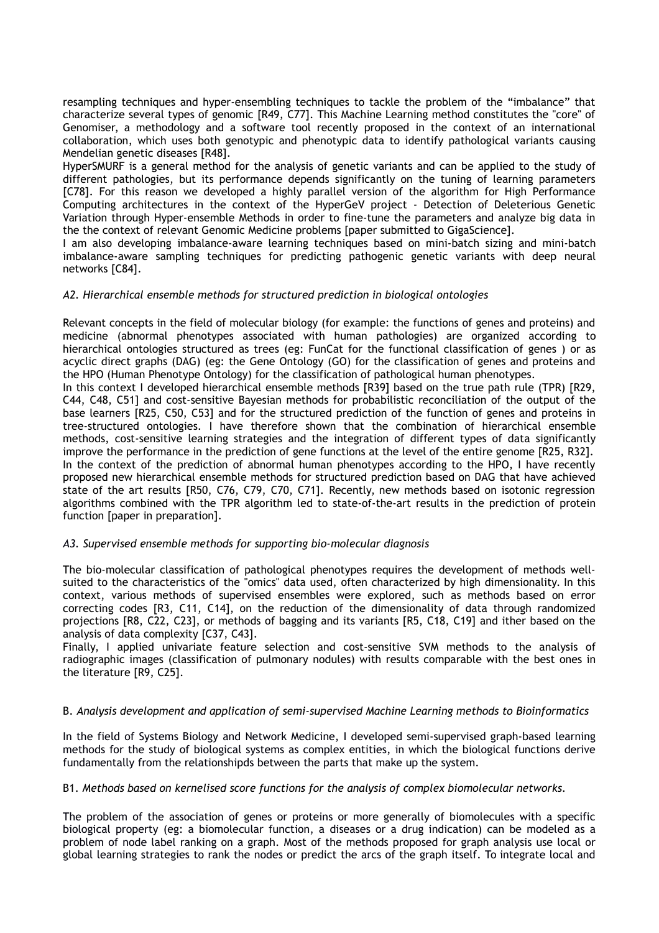resampling techniques and hyper-ensembling techniques to tackle the problem of the "imbalance" that characterize several types of genomic [R49, C77]. This Machine Learning method constitutes the "core" of Genomiser, a methodology and a software tool recently proposed in the context of an international collaboration, which uses both genotypic and phenotypic data to identify pathological variants causing Mendelian genetic diseases [R48].

HyperSMURF is a general method for the analysis of genetic variants and can be applied to the study of different pathologies, but its performance depends significantly on the tuning of learning parameters [C78]. For this reason we developed a highly parallel version of the algorithm for High Performance Computing architectures in the context of the HyperGeV project - Detection of Deleterious Genetic Variation through Hyper-ensemble Methods in order to fine-tune the parameters and analyze big data in the the context of relevant Genomic Medicine problems [paper submitted to GigaScience].

I am also developing imbalance-aware learning techniques based on mini-batch sizing and mini-batch imbalance-aware sampling techniques for predicting pathogenic genetic variants with deep neural networks [C84].

### *A2. Hierarchical ensemble methods for structured prediction in biological ontologies*

Relevant concepts in the field of molecular biology (for example: the functions of genes and proteins) and medicine (abnormal phenotypes associated with human pathologies) are organized according to hierarchical ontologies structured as trees (eg: FunCat for the functional classification of genes ) or as acyclic direct graphs (DAG) (eg: the Gene Ontology (GO) for the classification of genes and proteins and the HPO (Human Phenotype Ontology) for the classification of pathological human phenotypes.

In this context I developed hierarchical ensemble methods [R39] based on the true path rule (TPR) [R29, C44, C48, C51] and cost-sensitive Bayesian methods for probabilistic reconciliation of the output of the base learners [R25, C50, C53] and for the structured prediction of the function of genes and proteins in tree-structured ontologies. I have therefore shown that the combination of hierarchical ensemble methods, cost-sensitive learning strategies and the integration of different types of data significantly improve the performance in the prediction of gene functions at the level of the entire genome [R25, R32]. In the context of the prediction of abnormal human phenotypes according to the HPO, I have recently proposed new hierarchical ensemble methods for structured prediction based on DAG that have achieved state of the art results [R50, C76, C79, C70, C71]. Recently, new methods based on isotonic regression algorithms combined with the TPR algorithm led to state-of-the-art results in the prediction of protein function [paper in preparation].

#### *A3. Supervised ensemble methods for supporting bio-molecular diagnosis*

The bio-molecular classification of pathological phenotypes requires the development of methods wellsuited to the characteristics of the "omics" data used, often characterized by high dimensionality. In this context, various methods of supervised ensembles were explored, such as methods based on error correcting codes [R3, C11, C14], on the reduction of the dimensionality of data through randomized projections [R8, C22, C23], or methods of bagging and its variants [R5, C18, C19] and ither based on the analysis of data complexity [C37, C43].

Finally, I applied univariate feature selection and cost-sensitive SVM methods to the analysis of radiographic images (classification of pulmonary nodules) with results comparable with the best ones in the literature [R9, C25].

### B. *Analysis development and application of semi-supervised Machine Learning methods to Bioinformatics*

In the field of Systems Biology and Network Medicine, I developed semi-supervised graph-based learning methods for the study of biological systems as complex entities, in which the biological functions derive fundamentally from the relationshipds between the parts that make up the system.

#### B1. *Methods based on kernelised score functions for the analysis of complex biomolecular networks.*

The problem of the association of genes or proteins or more generally of biomolecules with a specific biological property (eg: a biomolecular function, a diseases or a drug indication) can be modeled as a problem of node label ranking on a graph. Most of the methods proposed for graph analysis use local or global learning strategies to rank the nodes or predict the arcs of the graph itself. To integrate local and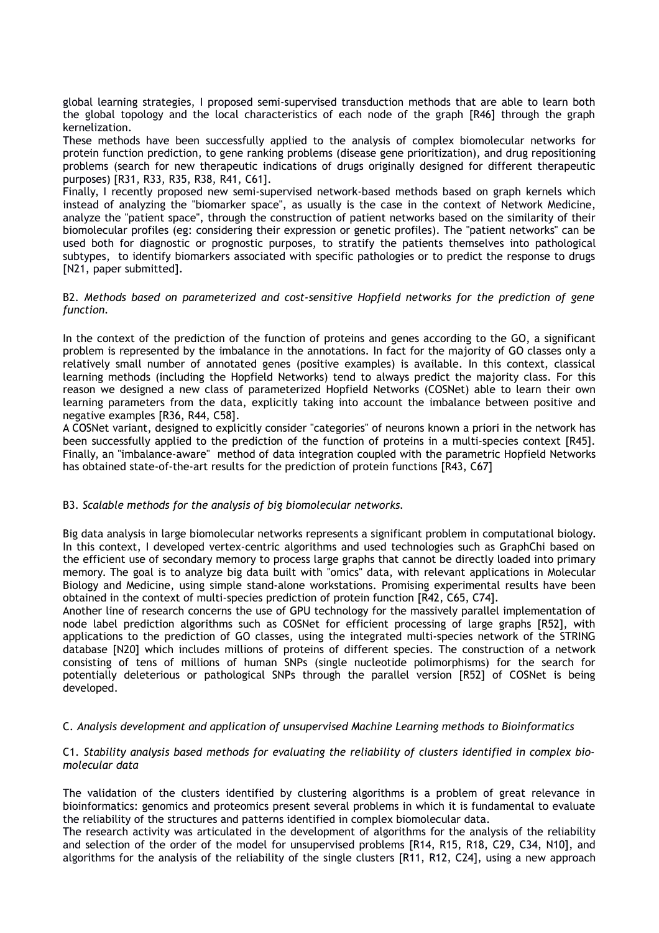global learning strategies, I proposed semi-supervised transduction methods that are able to learn both the global topology and the local characteristics of each node of the graph [R46] through the graph kernelization.

These methods have been successfully applied to the analysis of complex biomolecular networks for protein function prediction, to gene ranking problems (disease gene prioritization), and drug repositioning problems (search for new therapeutic indications of drugs originally designed for different therapeutic purposes) [R31, R33, R35, R38, R41, C61].

Finally, I recently proposed new semi-supervised network-based methods based on graph kernels which instead of analyzing the "biomarker space", as usually is the case in the context of Network Medicine, analyze the "patient space", through the construction of patient networks based on the similarity of their biomolecular profiles (eg: considering their expression or genetic profiles). The "patient networks" can be used both for diagnostic or prognostic purposes, to stratify the patients themselves into pathological subtypes, to identify biomarkers associated with specific pathologies or to predict the response to drugs [N21, paper submitted].

#### B2. *Methods based on parameterized and cost-sensitive Hopfield networks for the prediction of gene function.*

In the context of the prediction of the function of proteins and genes according to the GO, a significant problem is represented by the imbalance in the annotations. In fact for the majority of GO classes only a relatively small number of annotated genes (positive examples) is available. In this context, classical learning methods (including the Hopfield Networks) tend to always predict the majority class. For this reason we designed a new class of parameterized Hopfield Networks (COSNet) able to learn their own learning parameters from the data, explicitly taking into account the imbalance between positive and negative examples [R36, R44, C58].

A COSNet variant, designed to explicitly consider "categories" of neurons known a priori in the network has been successfully applied to the prediction of the function of proteins in a multi-species context [R45]. Finally, an "imbalance-aware" method of data integration coupled with the parametric Hopfield Networks has obtained state-of-the-art results for the prediction of protein functions [R43, C67]

### B3. *Scalable methods for the analysis of big biomolecular networks.*

Big data analysis in large biomolecular networks represents a significant problem in computational biology. In this context, I developed vertex-centric algorithms and used technologies such as GraphChi based on the efficient use of secondary memory to process large graphs that cannot be directly loaded into primary memory. The goal is to analyze big data built with "omics" data, with relevant applications in Molecular Biology and Medicine, using simple stand-alone workstations. Promising experimental results have been obtained in the context of multi-species prediction of protein function [R42, C65, C74].

Another line of research concerns the use of GPU technology for the massively parallel implementation of node label prediction algorithms such as COSNet for efficient processing of large graphs [R52], with applications to the prediction of GO classes, using the integrated multi-species network of the STRING database [N20] which includes millions of proteins of different species. The construction of a network consisting of tens of millions of human SNPs (single nucleotide polimorphisms) for the search for potentially deleterious or pathological SNPs through the parallel version [R52] of COSNet is being developed.

### C. *Analysis development and application of unsupervised Machine Learning methods to Bioinformatics*

### C1. *Stability analysis based methods for evaluating the reliability of clusters identified in complex biomolecular data*

The validation of the clusters identified by clustering algorithms is a problem of great relevance in bioinformatics: genomics and proteomics present several problems in which it is fundamental to evaluate the reliability of the structures and patterns identified in complex biomolecular data.

The research activity was articulated in the development of algorithms for the analysis of the reliability and selection of the order of the model for unsupervised problems [R14, R15, R18, C29, C34, N10], and algorithms for the analysis of the reliability of the single clusters [R11, R12, C24], using a new approach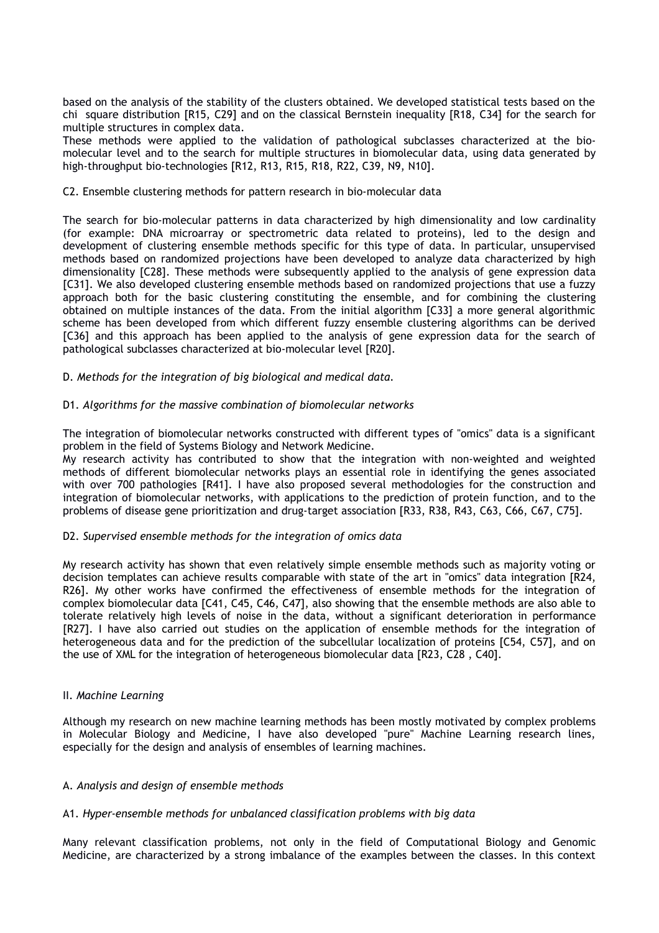based on the analysis of the stability of the clusters obtained. We developed statistical tests based on the chi square distribution [R15, C29] and on the classical Bernstein inequality [R18, C34] for the search for multiple structures in complex data.

These methods were applied to the validation of pathological subclasses characterized at the biomolecular level and to the search for multiple structures in biomolecular data, using data generated by high-throughput bio-technologies [R12, R13, R15, R18, R22, C39, N9, N10].

#### C2. Ensemble clustering methods for pattern research in bio-molecular data

The search for bio-molecular patterns in data characterized by high dimensionality and low cardinality (for example: DNA microarray or spectrometric data related to proteins), led to the design and development of clustering ensemble methods specific for this type of data. In particular, unsupervised methods based on randomized projections have been developed to analyze data characterized by high dimensionality [C28]. These methods were subsequently applied to the analysis of gene expression data [C31]. We also developed clustering ensemble methods based on randomized projections that use a fuzzy approach both for the basic clustering constituting the ensemble, and for combining the clustering obtained on multiple instances of the data. From the initial algorithm [C33] a more general algorithmic scheme has been developed from which different fuzzy ensemble clustering algorithms can be derived [C36] and this approach has been applied to the analysis of gene expression data for the search of pathological subclasses characterized at bio-molecular level [R20].

### D. *Methods for the integration of big biological and medical data.*

### D1. *Algorithms for the massive combination of biomolecular networks*

The integration of biomolecular networks constructed with different types of "omics" data is a significant problem in the field of Systems Biology and Network Medicine.

My research activity has contributed to show that the integration with non-weighted and weighted methods of different biomolecular networks plays an essential role in identifying the genes associated with over 700 pathologies [R41]. I have also proposed several methodologies for the construction and integration of biomolecular networks, with applications to the prediction of protein function, and to the problems of disease gene prioritization and drug-target association [R33, R38, R43, C63, C66, C67, C75].

#### D2. *Supervised ensemble methods for the integration of omics data*

My research activity has shown that even relatively simple ensemble methods such as majority voting or decision templates can achieve results comparable with state of the art in "omics" data integration [R24, R26]. My other works have confirmed the effectiveness of ensemble methods for the integration of complex biomolecular data [C41, C45, C46, C47], also showing that the ensemble methods are also able to tolerate relatively high levels of noise in the data, without a significant deterioration in performance [R27]. I have also carried out studies on the application of ensemble methods for the integration of heterogeneous data and for the prediction of the subcellular localization of proteins [C54, C57], and on the use of XML for the integration of heterogeneous biomolecular data [R23, C28 , C40].

#### II. *Machine Learning*

Although my research on new machine learning methods has been mostly motivated by complex problems in Molecular Biology and Medicine, I have also developed "pure" Machine Learning research lines, especially for the design and analysis of ensembles of learning machines.

#### A. *Analysis and design of ensemble methods*

#### A1. *Hyper-ensemble methods for unbalanced classification problems with big data*

Many relevant classification problems, not only in the field of Computational Biology and Genomic Medicine, are characterized by a strong imbalance of the examples between the classes. In this context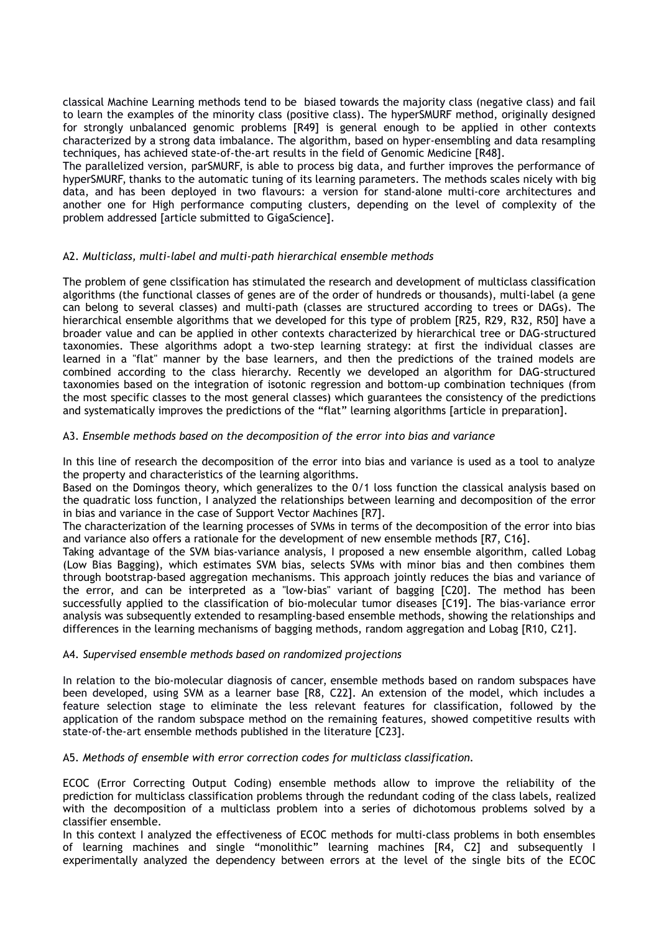classical Machine Learning methods tend to be biased towards the majority class (negative class) and fail to learn the examples of the minority class (positive class). The hyperSMURF method, originally designed for strongly unbalanced genomic problems [R49] is general enough to be applied in other contexts characterized by a strong data imbalance. The algorithm, based on hyper-ensembling and data resampling techniques, has achieved state-of-the-art results in the field of Genomic Medicine [R48].

The parallelized version, parSMURF, is able to process big data, and further improves the performance of hyperSMURF, thanks to the automatic tuning of its learning parameters. The methods scales nicely with big data, and has been deployed in two flavours: a version for stand-alone multi-core architectures and another one for High performance computing clusters, depending on the level of complexity of the problem addressed [article submitted to GigaScience].

### A2. *Multiclass, multi-label and multi-path hierarchical ensemble methods*

The problem of gene clssification has stimulated the research and development of multiclass classification algorithms (the functional classes of genes are of the order of hundreds or thousands), multi-label (a gene can belong to several classes) and multi-path (classes are structured according to trees or DAGs). The hierarchical ensemble algorithms that we developed for this type of problem [R25, R29, R32, R50] have a broader value and can be applied in other contexts characterized by hierarchical tree or DAG-structured taxonomies. These algorithms adopt a two-step learning strategy: at first the individual classes are learned in a "flat" manner by the base learners, and then the predictions of the trained models are combined according to the class hierarchy. Recently we developed an algorithm for DAG-structured taxonomies based on the integration of isotonic regression and bottom-up combination techniques (from the most specific classes to the most general classes) which guarantees the consistency of the predictions and systematically improves the predictions of the "flat" learning algorithms [article in preparation].

### A3. *Ensemble methods based on the decomposition of the error into bias and variance*

In this line of research the decomposition of the error into bias and variance is used as a tool to analyze the property and characteristics of the learning algorithms.

Based on the Domingos theory, which generalizes to the 0/1 loss function the classical analysis based on the quadratic loss function, I analyzed the relationships between learning and decomposition of the error in bias and variance in the case of Support Vector Machines [R7].

The characterization of the learning processes of SVMs in terms of the decomposition of the error into bias and variance also offers a rationale for the development of new ensemble methods [R7, C16].

Taking advantage of the SVM bias-variance analysis, I proposed a new ensemble algorithm, called Lobag (Low Bias Bagging), which estimates SVM bias, selects SVMs with minor bias and then combines them through bootstrap-based aggregation mechanisms. This approach jointly reduces the bias and variance of the error, and can be interpreted as a "low-bias" variant of bagging [C20]. The method has been successfully applied to the classification of bio-molecular tumor diseases [C19]. The bias-variance error analysis was subsequently extended to resampling-based ensemble methods, showing the relationships and differences in the learning mechanisms of bagging methods, random aggregation and Lobag [R10, C21].

#### A4. *Supervised ensemble methods based on randomized projections*

In relation to the bio-molecular diagnosis of cancer, ensemble methods based on random subspaces have been developed, using SVM as a learner base [R8, C22]. An extension of the model, which includes a feature selection stage to eliminate the less relevant features for classification, followed by the application of the random subspace method on the remaining features, showed competitive results with state-of-the-art ensemble methods published in the literature [C23].

#### A5. *Methods of ensemble with error correction codes for multiclass classification.*

ECOC (Error Correcting Output Coding) ensemble methods allow to improve the reliability of the prediction for multiclass classification problems through the redundant coding of the class labels, realized with the decomposition of a multiclass problem into a series of dichotomous problems solved by a classifier ensemble.

In this context I analyzed the effectiveness of ECOC methods for multi-class problems in both ensembles of learning machines and single "monolithic" learning machines [R4, C2] and subsequently I experimentally analyzed the dependency between errors at the level of the single bits of the ECOC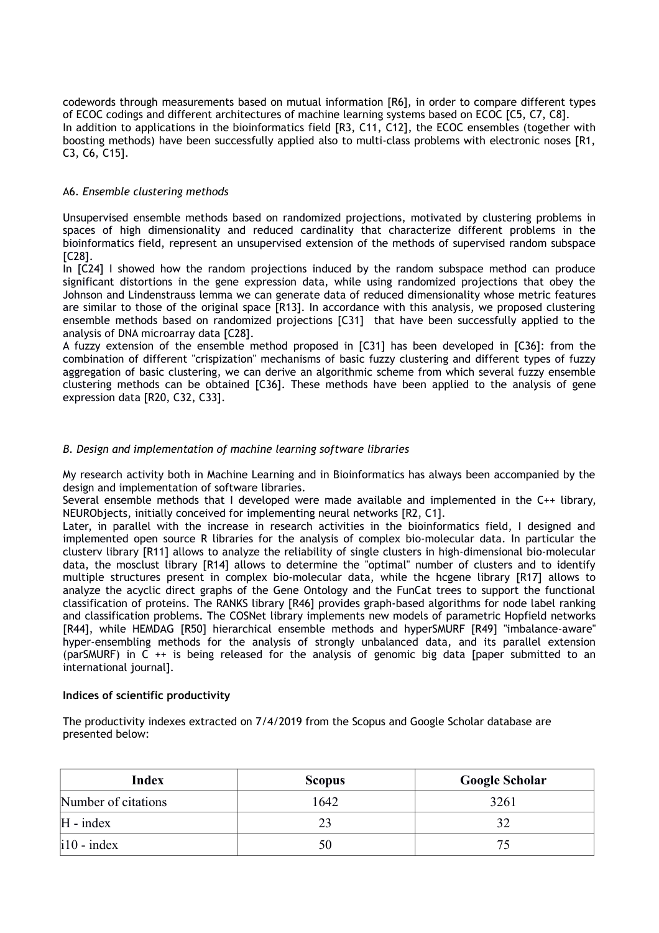codewords through measurements based on mutual information [R6], in order to compare different types of ECOC codings and different architectures of machine learning systems based on ECOC [C5, C7, C8]. In addition to applications in the bioinformatics field [R3, C11, C12], the ECOC ensembles (together with boosting methods) have been successfully applied also to multi-class problems with electronic noses [R1, C3, C6, C15].

### A6. *Ensemble clustering methods*

Unsupervised ensemble methods based on randomized projections, motivated by clustering problems in spaces of high dimensionality and reduced cardinality that characterize different problems in the bioinformatics field, represent an unsupervised extension of the methods of supervised random subspace [C28].

In [C24] I showed how the random projections induced by the random subspace method can produce significant distortions in the gene expression data, while using randomized projections that obey the Johnson and Lindenstrauss lemma we can generate data of reduced dimensionality whose metric features are similar to those of the original space [R13]. In accordance with this analysis, we proposed clustering ensemble methods based on randomized projections [C31] that have been successfully applied to the analysis of DNA microarray data [C28].

A fuzzy extension of the ensemble method proposed in [C31] has been developed in [C36]: from the combination of different "crispization" mechanisms of basic fuzzy clustering and different types of fuzzy aggregation of basic clustering, we can derive an algorithmic scheme from which several fuzzy ensemble clustering methods can be obtained [C36]. These methods have been applied to the analysis of gene expression data [R20, C32, C33].

### *B. Design and implementation of machine learning software libraries*

My research activity both in Machine Learning and in Bioinformatics has always been accompanied by the design and implementation of software libraries.

Several ensemble methods that I developed were made available and implemented in the C++ library, NEURObjects, initially conceived for implementing neural networks [R2, C1].

Later, in parallel with the increase in research activities in the bioinformatics field, I designed and implemented open source R libraries for the analysis of complex bio-molecular data. In particular the clusterv library [R11] allows to analyze the reliability of single clusters in high-dimensional bio-molecular data, the mosclust library [R14] allows to determine the "optimal" number of clusters and to identify multiple structures present in complex bio-molecular data, while the hcgene library [R17] allows to analyze the acyclic direct graphs of the Gene Ontology and the FunCat trees to support the functional classification of proteins. The RANKS library [R46] provides graph-based algorithms for node label ranking and classification problems. The COSNet library implements new models of parametric Hopfield networks [R44], while HEMDAG [R50] hierarchical ensemble methods and hyperSMURF [R49] "imbalance-aware" hyper-ensembling methods for the analysis of strongly unbalanced data, and its parallel extension (parSMURF) in C ++ is being released for the analysis of genomic big data [paper submitted to an international journal].

### **Indices of scientific productivity**

The productivity indexes extracted on 7/4/2019 from the Scopus and Google Scholar database are presented below:

| <b>Index</b>        | <b>Scopus</b> | <b>Google Scholar</b> |
|---------------------|---------------|-----------------------|
| Number of citations | 1642          | 3261                  |
| $H - index$         |               |                       |
| $\vert$ i10 - index |               |                       |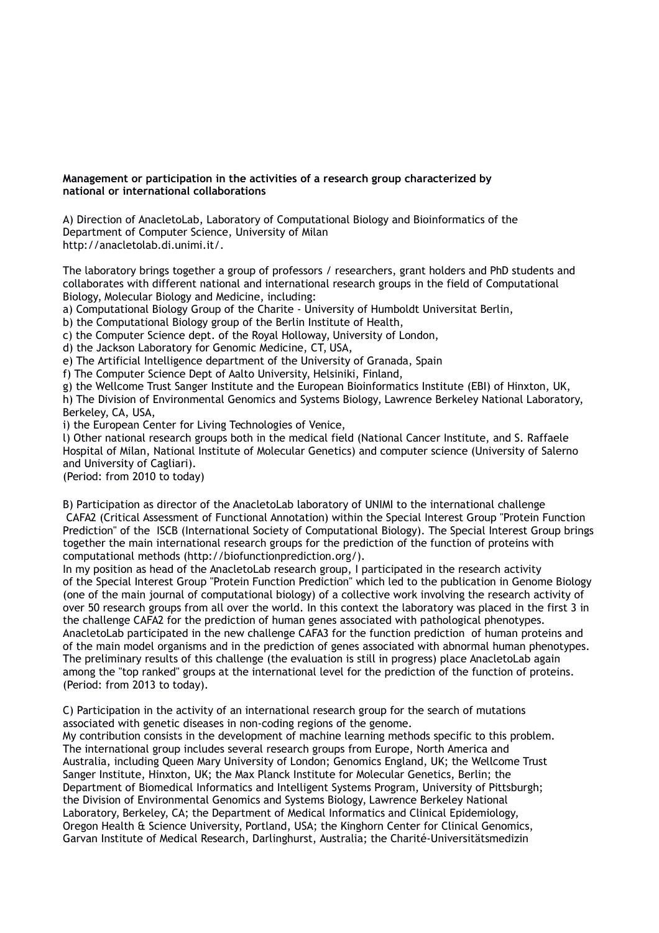### **Management or participation in the activities of a research group characterized by national or international collaborations**

A) Direction of AnacletoLab, Laboratory of Computational Biology and Bioinformatics of the Department of Computer Science, University of Milan http://anacletolab.di.unimi.it/.

The laboratory brings together a group of professors / researchers, grant holders and PhD students and collaborates with different national and international research groups in the field of Computational Biology, Molecular Biology and Medicine, including:

a) Computational Biology Group of the Charite - University of Humboldt Universitat Berlin,

b) the Computational Biology group of the Berlin Institute of Health,

c) the Computer Science dept. of the Royal Holloway, University of London,

d) the Jackson Laboratory for Genomic Medicine, CT, USA,

e) The Artificial Intelligence department of the University of Granada, Spain

f) The Computer Science Dept of Aalto University, Helsiniki, Finland,

g) the Wellcome Trust Sanger Institute and the European Bioinformatics Institute (EBI) of Hinxton, UK, h) The Division of Environmental Genomics and Systems Biology, Lawrence Berkeley National Laboratory, Berkeley, CA, USA,

i) the European Center for Living Technologies of Venice,

l) Other national research groups both in the medical field (National Cancer Institute, and S. Raffaele Hospital of Milan, National Institute of Molecular Genetics) and computer science (University of Salerno and University of Cagliari).

(Period: from 2010 to today)

B) Participation as director of the AnacletoLab laboratory of UNIMI to the international challenge CAFA2 (Critical Assessment of Functional Annotation) within the Special Interest Group "Protein Function Prediction" of the ISCB (International Society of Computational Biology). The Special Interest Group brings together the main international research groups for the prediction of the function of proteins with computational methods (http://biofunctionprediction.org/).

In my position as head of the AnacletoLab research group, I participated in the research activity of the Special Interest Group "Protein Function Prediction" which led to the publication in Genome Biology (one of the main journal of computational biology) of a collective work involving the research activity of over 50 research groups from all over the world. In this context the laboratory was placed in the first 3 in the challenge CAFA2 for the prediction of human genes associated with pathological phenotypes. AnacletoLab participated in the new challenge CAFA3 for the function prediction of human proteins and of the main model organisms and in the prediction of genes associated with abnormal human phenotypes. The preliminary results of this challenge (the evaluation is still in progress) place AnacletoLab again among the "top ranked" groups at the international level for the prediction of the function of proteins. (Period: from 2013 to today).

C) Participation in the activity of an international research group for the search of mutations associated with genetic diseases in non-coding regions of the genome.

My contribution consists in the development of machine learning methods specific to this problem. The international group includes several research groups from Europe, North America and Australia, including Queen Mary University of London; Genomics England, UK; the Wellcome Trust Sanger Institute, Hinxton, UK; the Max Planck Institute for Molecular Genetics, Berlin; the Department of Biomedical Informatics and Intelligent Systems Program, University of Pittsburgh; the Division of Environmental Genomics and Systems Biology, Lawrence Berkeley National Laboratory, Berkeley, CA; the Department of Medical Informatics and Clinical Epidemiology, Oregon Health & Science University, Portland, USA; the Kinghorn Center for Clinical Genomics, Garvan Institute of Medical Research, Darlinghurst, Australia; the Charité-Universitätsmedizin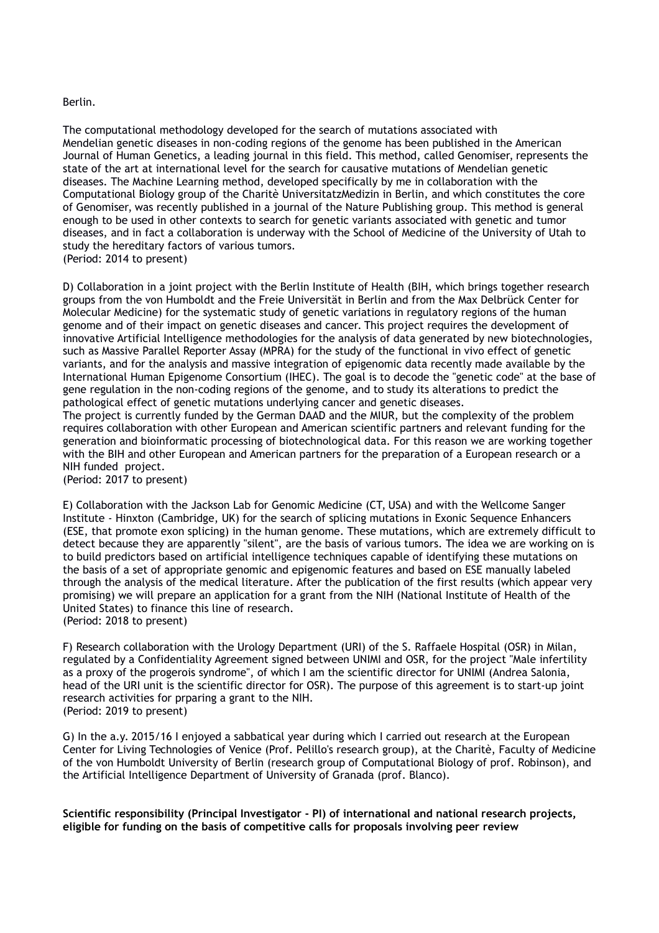#### Berlin.

The computational methodology developed for the search of mutations associated with Mendelian genetic diseases in non-coding regions of the genome has been published in the American Journal of Human Genetics, a leading journal in this field. This method, called Genomiser, represents the state of the art at international level for the search for causative mutations of Mendelian genetic diseases. The Machine Learning method, developed specifically by me in collaboration with the Computational Biology group of the Charitè UniversitatzMedizin in Berlin, and which constitutes the core of Genomiser, was recently published in a journal of the Nature Publishing group. This method is general enough to be used in other contexts to search for genetic variants associated with genetic and tumor diseases, and in fact a collaboration is underway with the School of Medicine of the University of Utah to study the hereditary factors of various tumors. (Period: 2014 to present)

D) Collaboration in a joint project with the Berlin Institute of Health (BIH, which brings together research groups from the von Humboldt and the Freie Universität in Berlin and from the Max Delbrück Center for Molecular Medicine) for the systematic study of genetic variations in regulatory regions of the human genome and of their impact on genetic diseases and cancer. This project requires the development of innovative Artificial Intelligence methodologies for the analysis of data generated by new biotechnologies, such as Massive Parallel Reporter Assay (MPRA) for the study of the functional in vivo effect of genetic variants, and for the analysis and massive integration of epigenomic data recently made available by the International Human Epigenome Consortium (IHEC). The goal is to decode the "genetic code" at the base of gene regulation in the non-coding regions of the genome, and to study its alterations to predict the pathological effect of genetic mutations underlying cancer and genetic diseases.

The project is currently funded by the German DAAD and the MIUR, but the complexity of the problem requires collaboration with other European and American scientific partners and relevant funding for the generation and bioinformatic processing of biotechnological data. For this reason we are working together with the BIH and other European and American partners for the preparation of a European research or a NIH funded project.

(Period: 2017 to present)

E) Collaboration with the Jackson Lab for Genomic Medicine (CT, USA) and with the Wellcome Sanger Institute - Hinxton (Cambridge, UK) for the search of splicing mutations in Exonic Sequence Enhancers (ESE, that promote exon splicing) in the human genome. These mutations, which are extremely difficult to detect because they are apparently "silent", are the basis of various tumors. The idea we are working on is to build predictors based on artificial intelligence techniques capable of identifying these mutations on the basis of a set of appropriate genomic and epigenomic features and based on ESE manually labeled through the analysis of the medical literature. After the publication of the first results (which appear very promising) we will prepare an application for a grant from the NIH (National Institute of Health of the United States) to finance this line of research. (Period: 2018 to present)

F) Research collaboration with the Urology Department (URI) of the S. Raffaele Hospital (OSR) in Milan, regulated by a Confidentiality Agreement signed between UNIMI and OSR, for the project "Male infertility as a proxy of the progerois syndrome", of which I am the scientific director for UNIMI (Andrea Salonia, head of the URI unit is the scientific director for OSR). The purpose of this agreement is to start-up joint research activities for prparing a grant to the NIH. (Period: 2019 to present)

G) In the a.y. 2015/16 I enjoyed a sabbatical year during which I carried out research at the European Center for Living Technologies of Venice (Prof. Pelillo's research group), at the Charitè, Faculty of Medicine of the von Humboldt University of Berlin (research group of Computational Biology of prof. Robinson), and the Artificial Intelligence Department of University of Granada (prof. Blanco).

**Scientific responsibility (Principal Investigator - PI) of international and national research projects, eligible for funding on the basis of competitive calls for proposals involving peer review**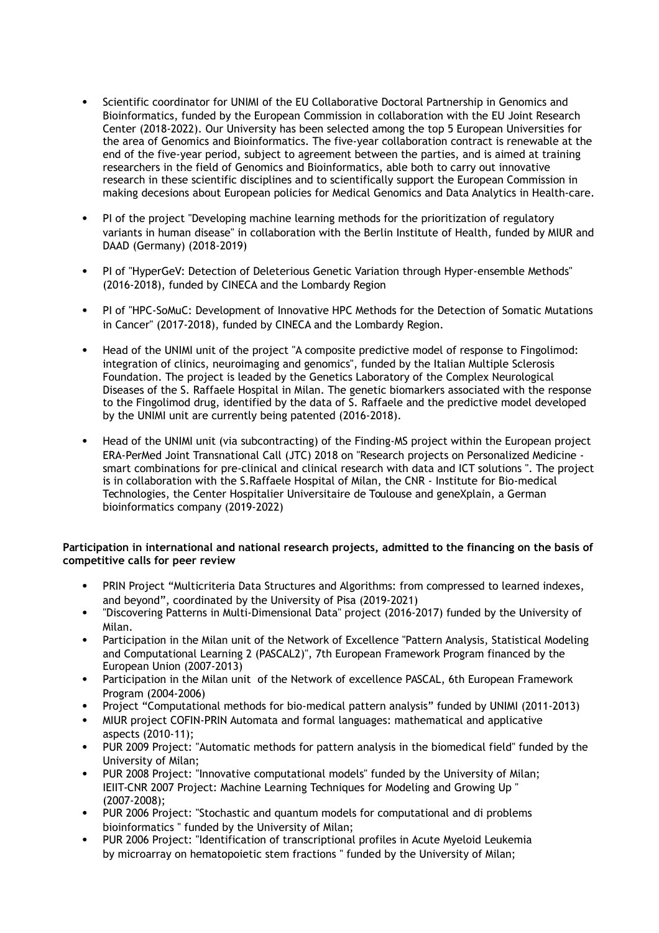- Scientific coordinator for UNIMI of the EU Collaborative Doctoral Partnership in Genomics and Bioinformatics, funded by the European Commission in collaboration with the EU Joint Research Center (2018-2022). Our University has been selected among the top 5 European Universities for the area of Genomics and Bioinformatics. The five-year collaboration contract is renewable at the end of the five-year period, subject to agreement between the parties, and is aimed at training researchers in the field of Genomics and Bioinformatics, able both to carry out innovative research in these scientific disciplines and to scientifically support the European Commission in making decesions about European policies for Medical Genomics and Data Analytics in Health-care.
- PI of the project "Developing machine learning methods for the prioritization of regulatory variants in human disease" in collaboration with the Berlin Institute of Health, funded by MIUR and DAAD (Germany) (2018-2019)
- PI of "HyperGeV: Detection of Deleterious Genetic Variation through Hyper-ensemble Methods" (2016-2018), funded by CINECA and the Lombardy Region
- PI of "HPC-SoMuC: Development of Innovative HPC Methods for the Detection of Somatic Mutations in Cancer" (2017-2018), funded by CINECA and the Lombardy Region.
- Head of the UNIMI unit of the project "A composite predictive model of response to Fingolimod: integration of clinics, neuroimaging and genomics", funded by the Italian Multiple Sclerosis Foundation. The project is leaded by the Genetics Laboratory of the Complex Neurological Diseases of the S. Raffaele Hospital in Milan. The genetic biomarkers associated with the response to the Fingolimod drug, identified by the data of S. Raffaele and the predictive model developed by the UNIMI unit are currently being patented (2016-2018).
- Head of the UNIMI unit (via subcontracting) of the Finding-MS project within the European project ERA-PerMed Joint Transnational Call (JTC) 2018 on "Research projects on Personalized Medicine smart combinations for pre-clinical and clinical research with data and ICT solutions ". The project is in collaboration with the S.Raffaele Hospital of Milan, the CNR - Institute for Bio-medical Technologies, the Center Hospitalier Universitaire de Toulouse and geneXplain, a German bioinformatics company (2019-2022)

### **Participation in international and national research projects, admitted to the financing on the basis of competitive calls for peer review**

- PRIN Project "Multicriteria Data Structures and Algorithms: from compressed to learned indexes, and beyond", coordinated by the University of Pisa (2019-2021)
- "Discovering Patterns in Multi-Dimensional Data" project (2016-2017) funded by the University of Milan.
- Participation in the Milan unit of the Network of Excellence "Pattern Analysis, Statistical Modeling and Computational Learning 2 (PASCAL2)", 7th European Framework Program financed by the European Union (2007-2013)
- Participation in the Milan unit of the Network of excellence PASCAL, 6th European Framework Program (2004-2006)
- Project "Computational methods for bio-medical pattern analysis" funded by UNIMI (2011-2013)
- MIUR project COFIN-PRIN Automata and formal languages: mathematical and applicative aspects (2010-11);
- PUR 2009 Project: "Automatic methods for pattern analysis in the biomedical field" funded by the University of Milan;
- PUR 2008 Project: "Innovative computational models" funded by the University of Milan; IEIIT-CNR 2007 Project: Machine Learning Techniques for Modeling and Growing Up " (2007-2008);
- PUR 2006 Project: "Stochastic and quantum models for computational and di problems bioinformatics " funded by the University of Milan;
- PUR 2006 Project: "Identification of transcriptional profiles in Acute Myeloid Leukemia by microarray on hematopoietic stem fractions " funded by the University of Milan;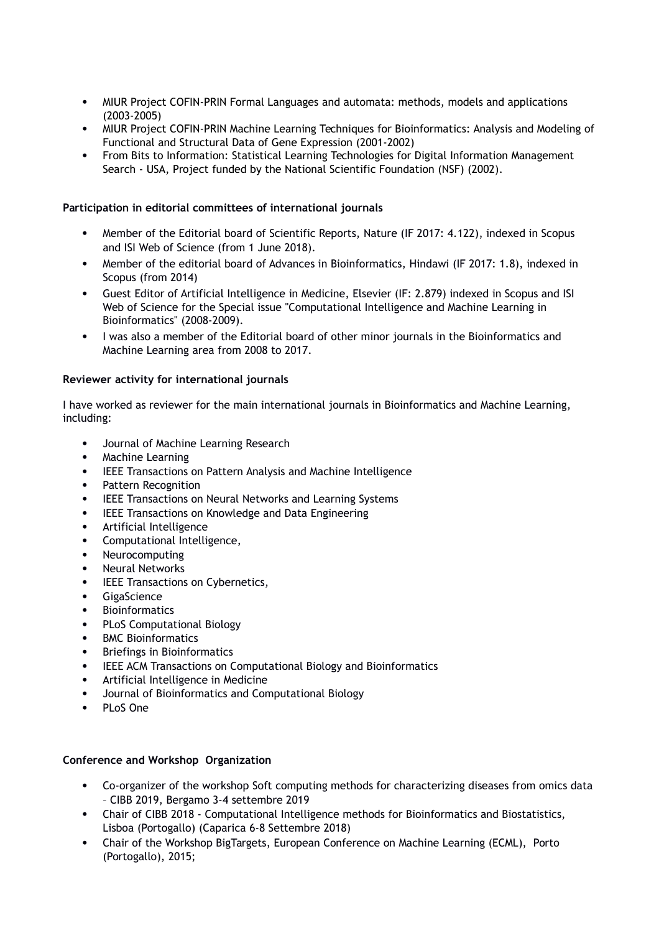- MIUR Project COFIN-PRIN Formal Languages and automata: methods, models and applications (2003-2005)
- MIUR Project COFIN-PRIN Machine Learning Techniques for Bioinformatics: Analysis and Modeling of Functional and Structural Data of Gene Expression (2001-2002)
- From Bits to Information: Statistical Learning Technologies for Digital Information Management Search - USA, Project funded by the National Scientific Foundation (NSF) (2002).

### **Participation in editorial committees of international journals**

- Member of the Editorial board of Scientific Reports, Nature (IF 2017: 4.122), indexed in Scopus and ISI Web of Science (from 1 June 2018).
- Member of the editorial board of Advances in Bioinformatics, Hindawi (IF 2017: 1.8), indexed in Scopus (from 2014)
- Guest Editor of Artificial Intelligence in Medicine, Elsevier (IF: 2.879) indexed in Scopus and ISI Web of Science for the Special issue "Computational Intelligence and Machine Learning in Bioinformatics" (2008-2009).
- I was also a member of the Editorial board of other minor journals in the Bioinformatics and Machine Learning area from 2008 to 2017.

### **Reviewer activity for international journals**

I have worked as reviewer for the main international journals in Bioinformatics and Machine Learning, including:

- Journal of Machine Learning Research
- Machine Learning
- IEEE Transactions on Pattern Analysis and Machine Intelligence
- Pattern Recognition
- IEEE Transactions on Neural Networks and Learning Systems
- IEEE Transactions on Knowledge and Data Engineering
- Artificial Intelligence
- Computational Intelligence.
- Neurocomputing
- Neural Networks
- IEEE Transactions on Cybernetics,
- **GigaScience**
- Bioinformatics
- PLoS Computational Biology
- BMC Bioinformatics
- Briefings in Bioinformatics
- IEEE ACM Transactions on Computational Biology and Bioinformatics
- Artificial Intelligence in Medicine
- Journal of Bioinformatics and Computational Biology
- PLoS One

### **Conference and Workshop Organization**

- Co-organizer of the workshop Soft computing methods for characterizing diseases from omics data – CIBB 2019, Bergamo 3-4 settembre 2019
- Chair of CIBB 2018 Computational Intelligence methods for Bioinformatics and Biostatistics, Lisboa (Portogallo) (Caparica 6-8 Settembre 2018)
- Chair of the Workshop BigTargets, European Conference on Machine Learning (ECML), Porto (Portogallo), 2015;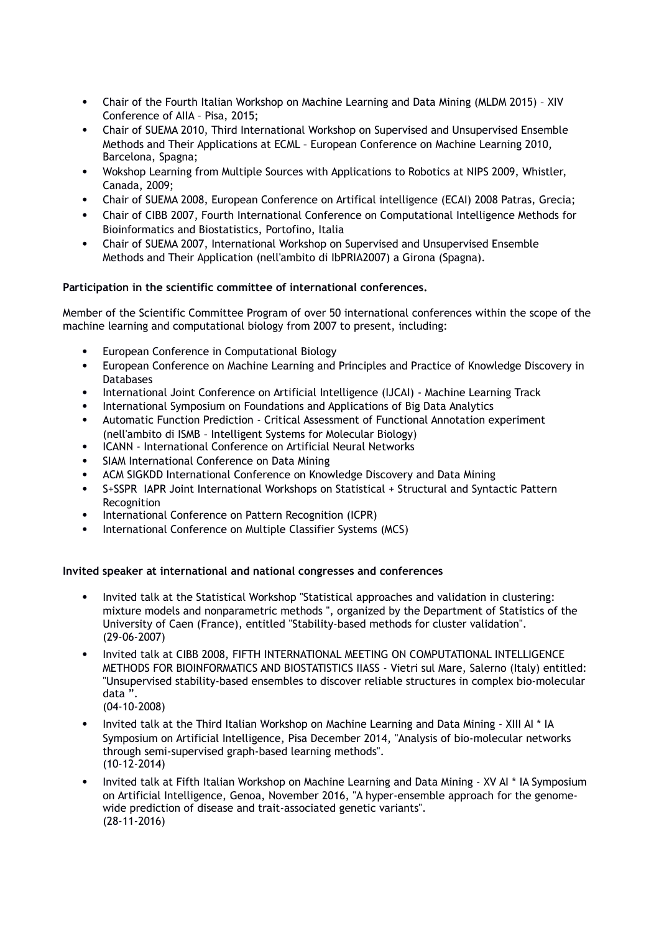- Chair of the Fourth Italian Workshop on Machine Learning and Data Mining (MLDM 2015) XIV Conference of AIIA – Pisa, 2015;
- Chair of SUEMA 2010, Third International Workshop on Supervised and Unsupervised Ensemble Methods and Their Applications at ECML – European Conference on Machine Learning 2010, Barcelona, Spagna;
- Wokshop Learning from Multiple Sources with Applications to Robotics at NIPS 2009, Whistler, Canada, 2009;
- Chair of SUEMA 2008, European Conference on Artifical intelligence (ECAI) 2008 Patras, Grecia;
- Chair of CIBB 2007, Fourth International Conference on Computational Intelligence Methods for Bioinformatics and Biostatistics, Portofino, Italia
- Chair of SUEMA 2007, International Workshop on Supervised and Unsupervised Ensemble Methods and Their Application (nell'ambito di IbPRIA2007) a Girona (Spagna).

### **Participation in the scientific committee of international conferences.**

Member of the Scientific Committee Program of over 50 international conferences within the scope of the machine learning and computational biology from 2007 to present, including:

- European Conference in Computational Biology
- European Conference on Machine Learning and Principles and Practice of Knowledge Discovery in **Databases**
- International Joint Conference on Artificial Intelligence (IJCAI) Machine Learning Track
- International Symposium on Foundations and Applications of Big Data Analytics
- Automatic Function Prediction Critical Assessment of Functional Annotation experiment (nell'ambito di ISMB – Intelligent Systems for Molecular Biology)
- ICANN International Conference on Artificial Neural Networks
- SIAM International Conference on Data Mining
- ACM SIGKDD International Conference on Knowledge Discovery and Data Mining
- S+SSPR IAPR Joint International Workshops on Statistical + Structural and Syntactic Pattern Recognition
- International Conference on Pattern Recognition (ICPR)
- International Conference on Multiple Classifier Systems (MCS)

### **Invited speaker at international and national congresses and conferences**

- Invited talk at the Statistical Workshop "Statistical approaches and validation in clustering: mixture models and nonparametric methods ", organized by the Department of Statistics of the University of Caen (France), entitled "Stability-based methods for cluster validation". (29-06-2007)
- Invited talk at CIBB 2008, FIFTH INTERNATIONAL MEETING ON COMPUTATIONAL INTELLIGENCE METHODS FOR BIOINFORMATICS AND BIOSTATISTICS IIASS - Vietri sul Mare, Salerno (Italy) entitled: "Unsupervised stability-based ensembles to discover reliable structures in complex bio-molecular data ". (04-10-2008)
- Invited talk at the Third Italian Workshop on Machine Learning and Data Mining XIII AI \* IA Symposium on Artificial Intelligence, Pisa December 2014, "Analysis of bio-molecular networks through semi-supervised graph-based learning methods". (10-12-2014)
- Invited talk at Fifth Italian Workshop on Machine Learning and Data Mining XV AI \* IA Symposium on Artificial Intelligence, Genoa, November 2016, "A hyper-ensemble approach for the genomewide prediction of disease and trait-associated genetic variants". (28-11-2016)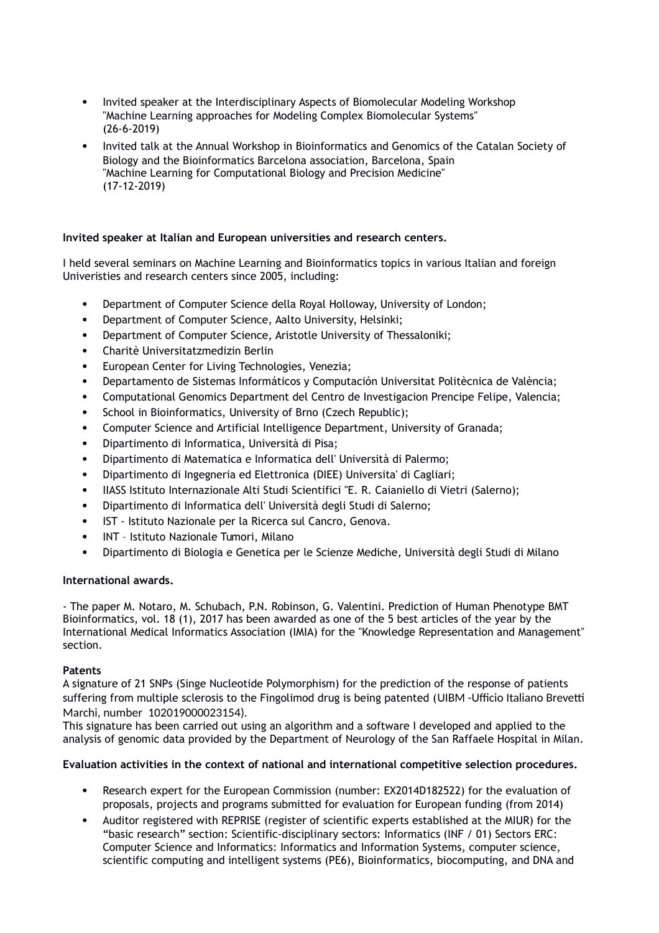- Invited speaker at the Interdisciplinary Aspects of Biomolecular Modeling Workshop "Machine Learning approaches for Modeling Complex Biomolecular Systems" (26-6-2019)
- Invited talk at the Annual Workshop in Bioinformatics and Genomics of the Catalan Society of Biology and the Bioinformatics Barcelona association, Barcelona, Spain "Machine Learning for Computational Biology and Precision Medicine" (17-12-2019)

### **Invited speaker at Italian and European universities and research centers.**

I held several seminars on Machine Learning and Bioinformatics topics in various Italian and foreign Univeristies and research centers since 2005, including:

- Department of Computer Science della Royal Holloway, University of London;
- Department of Computer Science, Aalto University, Helsinki;
- Department of Computer Science, Aristotle University of Thessaloniki;
- Charitè Universitatzmedizin Berlin
- European Center for Living Technologies, Venezia;
- Departamento de Sistemas Informáticos y Computación Universitat Politècnica de València;
- Computational Genomics Department del Centro de Investigacion Prencipe Felipe, Valencia;
- School in Bioinformatics, University of Brno (Czech Republic);
- Computer Science and Artificial Intelligence Department, University of Granada;
- Dipartimento di Informatica, Università di Pisa;
- Dipartimento di Matematica e Informatica dell' Università di Palermo;
- Dipartimento di Ingegneria ed Elettronica (DIEE) Universita' di Cagliari;
- IIASS Istituto Internazionale Alti Studi Scientifici "E. R. Caianiello di Vietri (Salerno);
- Dipartimento di Informatica dell' Università degli Studi di Salerno;
- IST Istituto Nazionale per la Ricerca sul Cancro, Genova.
- INT Istituto Nazionale Tumori, Milano
- Dipartimento di Biologia e Genetica per le Scienze Mediche, Università degli Studi di Milano

### **International awards.**

- The paper M. Notaro, M. Schubach, P.N. Robinson, G. Valentini. Prediction of Human Phenotype BMT Bioinformatics, vol. 18 (1), 2017 has been awarded as one of the 5 best articles of the year by the International Medical Informatics Association (IMIA) for the "Knowledge Representation and Management" section.

#### **Patents**

A signature of 21 SNPs (Singe Nucleotide Polymorphism) for the prediction of the response of patients suffering from multiple sclerosis to the Fingolimod drug is being patented (UIBM -Ufficio Italiano Brevetti Marchi, number 102019000023154).

This signature has been carried out using an algorithm and a software I developed and applied to the analysis of genomic data provided by the Department of Neurology of the San Raffaele Hospital in Milan.

### **Evaluation activities in the context of national and international competitive selection procedures.**

- Research expert for the European Commission (number: EX2014D182522) for the evaluation of proposals, projects and programs submitted for evaluation for European funding (from 2014)
- Auditor registered with REPRISE (register of scientific experts established at the MIUR) for the "basic research" section: Scientific-disciplinary sectors: Informatics (INF / 01) Sectors ERC: Computer Science and Informatics: Informatics and Information Systems, computer science, scientific computing and intelligent systems (PE6), Bioinformatics, biocomputing, and DNA and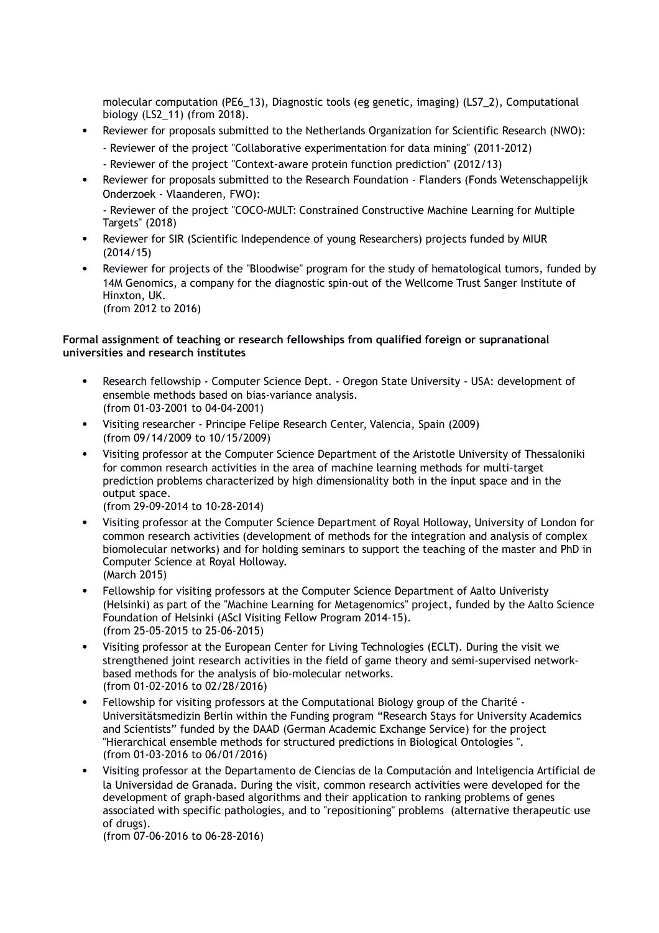molecular computation (PE6\_13), Diagnostic tools (eg genetic, imaging) (LS7\_2), Computational biology (LS2\_11) (from 2018).

- Reviewer for proposals submitted to the Netherlands Organization for Scientific Research (NWO): - Reviewer of the project "Collaborative experimentation for data mining" (2011-2012)
	- Reviewer of the project "Context-aware protein function prediction" (2012/13)
- Reviewer for proposals submitted to the Research Foundation Flanders (Fonds Wetenschappelijk Onderzoek - Vlaanderen, FWO):

- Reviewer of the project "COCO-MULT: Constrained Constructive Machine Learning for Multiple Targets" (2018)

- Reviewer for SIR (Scientific Independence of young Researchers) projects funded by MIUR (2014/15)
- Reviewer for projects of the "Bloodwise" program for the study of hematological tumors, funded by 14M Genomics, a company for the diagnostic spin-out of the Wellcome Trust Sanger Institute of Hinxton, UK. (from 2012 to 2016)

### **Formal assignment of teaching or research fellowships from qualified foreign or supranational universities and research institutes**

- Research fellowship Computer Science Dept. Oregon State University USA: development of ensemble methods based on bias-variance analysis. (from 01-03-2001 to 04-04-2001)
- Visiting researcher Principe Felipe Research Center, Valencia, Spain (2009) (from 09/14/2009 to 10/15/2009)
- Visiting professor at the Computer Science Department of the Aristotle University of Thessaloniki for common research activities in the area of machine learning methods for multi-target prediction problems characterized by high dimensionality both in the input space and in the output space.

(from 29-09-2014 to 10-28-2014)

- Visiting professor at the Computer Science Department of Royal Holloway, University of London for common research activities (development of methods for the integration and analysis of complex biomolecular networks) and for holding seminars to support the teaching of the master and PhD in Computer Science at Royal Holloway. (March 2015)
- Fellowship for visiting professors at the Computer Science Department of Aalto Univeristy (Helsinki) as part of the "Machine Learning for Metagenomics" project, funded by the Aalto Science Foundation of Helsinki (AScI Visiting Fellow Program 2014-15). (from 25-05-2015 to 25-06-2015)
- Visiting professor at the European Center for Living Technologies (ECLT). During the visit we strengthened joint research activities in the field of game theory and semi-supervised networkbased methods for the analysis of bio-molecular networks. (from 01-02-2016 to 02/28/2016)
- Fellowship for visiting professors at the Computational Biology group of the Charité Universitätsmedizin Berlin within the Funding program "Research Stays for University Academics and Scientists" funded by the DAAD (German Academic Exchange Service) for the project "Hierarchical ensemble methods for structured predictions in Biological Ontologies ". (from 01-03-2016 to 06/01/2016)
- Visiting professor at the Departamento de Ciencias de la Computación and Inteligencia Artificial de la Universidad de Granada. During the visit, common research activities were developed for the development of graph-based algorithms and their application to ranking problems of genes associated with specific pathologies, and to "repositioning" problems (alternative therapeutic use of drugs).

(from 07-06-2016 to 06-28-2016)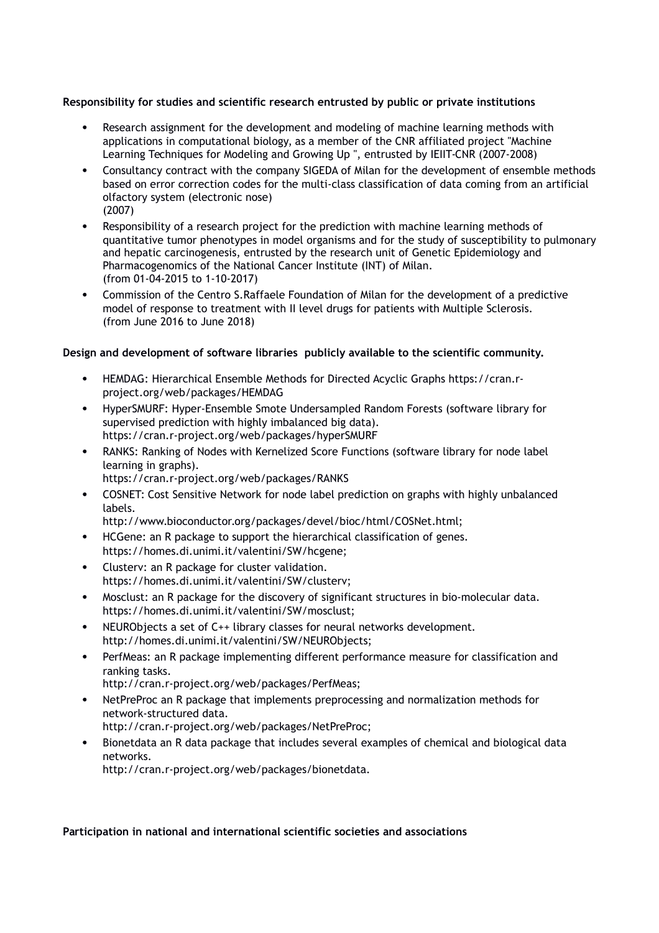### **Responsibility for studies and scientific research entrusted by public or private institutions**

- Research assignment for the development and modeling of machine learning methods with applications in computational biology, as a member of the CNR affiliated project "Machine Learning Techniques for Modeling and Growing Up ", entrusted by IEIIT-CNR (2007-2008)
- Consultancy contract with the company SIGEDA of Milan for the development of ensemble methods based on error correction codes for the multi-class classification of data coming from an artificial olfactory system (electronic nose) (2007)
- Responsibility of a research project for the prediction with machine learning methods of quantitative tumor phenotypes in model organisms and for the study of susceptibility to pulmonary and hepatic carcinogenesis, entrusted by the research unit of Genetic Epidemiology and Pharmacogenomics of the National Cancer Institute (INT) of Milan. (from 01-04-2015 to 1-10-2017)
- Commission of the Centro S.Raffaele Foundation of Milan for the development of a predictive model of response to treatment with II level drugs for patients with Multiple Sclerosis. (from June 2016 to June 2018)

### **Design and development of software libraries publicly available to the scientific community.**

- HEMDAG: Hierarchical Ensemble Methods for Directed Acyclic Graphs https://cran.rproject.org/web/packages/HEMDAG
- HyperSMURF: Hyper-Ensemble Smote Undersampled Random Forests (software library for supervised prediction with highly imbalanced big data). https://cran.r-project.org/web/packages/hyperSMURF
- RANKS: Ranking of Nodes with Kernelized Score Functions (software library for node label learning in graphs). https://cran.r-project.org/web/packages/RANKS
- COSNET: Cost Sensitive Network for node label prediction on graphs with highly unbalanced labels.

http://www.bioconductor.org/packages/devel/bioc/html/COSNet.html;

- HCGene: an R package to support the hierarchical classification of genes. https://homes.di.unimi.it/valentini/SW/hcgene;
- Clusterv: an R package for cluster validation. https://homes.di.unimi.it/valentini/SW/clusterv;
- Mosclust: an R package for the discovery of significant structures in bio-molecular data. https://homes.di.unimi.it/valentini/SW/mosclust;
- NEURObjects a set of C++ library classes for neural networks development. http://homes.di.unimi.it/valentini/SW/NEURObjects;
- PerfMeas: an R package implementing different performance measure for classification and ranking tasks.
	- http://cran.r-project.org/web/packages/PerfMeas;
- NetPreProc an R package that implements preprocessing and normalization methods for network-structured data. http://cran.r-project.org/web/packages/NetPreProc;
- Bionetdata an R data package that includes several examples of chemical and biological data networks. http://cran.r-project.org/web/packages/bionetdata.

### **Participation in national and international scientific societies and associations**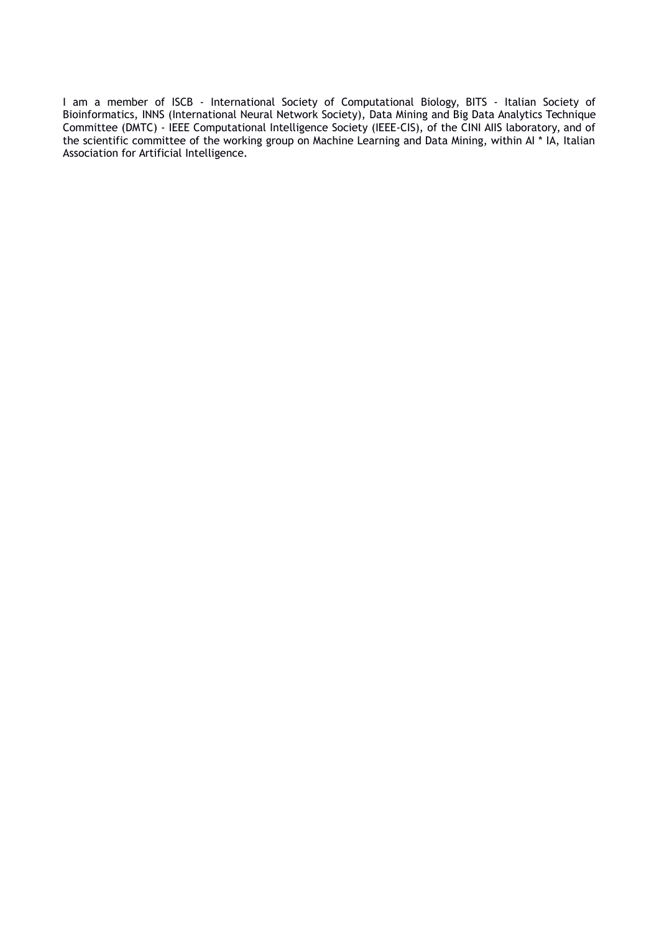I am a member of ISCB - International Society of Computational Biology, BITS - Italian Society of Bioinformatics, INNS (International Neural Network Society), Data Mining and Big Data Analytics Technique Committee (DMTC) - IEEE Computational Intelligence Society (IEEE-CIS), of the CINI AIIS laboratory, and of the scientific committee of the working group on Machine Learning and Data Mining, within AI \* IA, Italian Association for Artificial Intelligence.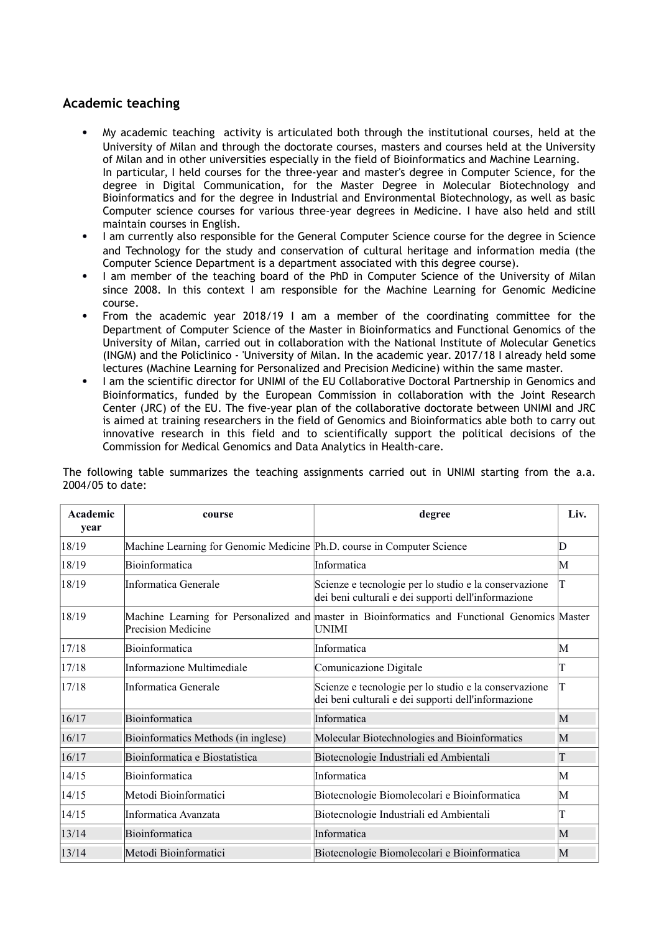# **Academic teaching**

- My academic teaching activity is articulated both through the institutional courses, held at the University of Milan and through the doctorate courses, masters and courses held at the University of Milan and in other universities especially in the field of Bioinformatics and Machine Learning. In particular, I held courses for the three-year and master's degree in Computer Science, for the degree in Digital Communication, for the Master Degree in Molecular Biotechnology and Bioinformatics and for the degree in Industrial and Environmental Biotechnology, as well as basic Computer science courses for various three-year degrees in Medicine. I have also held and still maintain courses in English.
- I am currently also responsible for the General Computer Science course for the degree in Science and Technology for the study and conservation of cultural heritage and information media (the Computer Science Department is a department associated with this degree course).
- I am member of the teaching board of the PhD in Computer Science of the University of Milan since 2008. In this context I am responsible for the Machine Learning for Genomic Medicine course.
- From the academic year 2018/19 I am a member of the coordinating committee for the Department of Computer Science of the Master in Bioinformatics and Functional Genomics of the University of Milan, carried out in collaboration with the National Institute of Molecular Genetics (INGM) and the Policlinico - 'University of Milan. In the academic year. 2017/18 I already held some lectures (Machine Learning for Personalized and Precision Medicine) within the same master.
- I am the scientific director for UNIMI of the EU Collaborative Doctoral Partnership in Genomics and Bioinformatics, funded by the European Commission in collaboration with the Joint Research Center (JRC) of the EU. The five-year plan of the collaborative doctorate between UNIMI and JRC is aimed at training researchers in the field of Genomics and Bioinformatics able both to carry out innovative research in this field and to scientifically support the political decisions of the Commission for Medical Genomics and Data Analytics in Health-care.

| Academic<br>year | course                                                                 | degree                                                                                                       | Liv. |
|------------------|------------------------------------------------------------------------|--------------------------------------------------------------------------------------------------------------|------|
| 18/19            | Machine Learning for Genomic Medicine Ph.D. course in Computer Science |                                                                                                              | D    |
| 18/19            | Bioinformatica                                                         | Informatica                                                                                                  | M    |
| 18/19            | Informatica Generale                                                   | Scienze e tecnologie per lo studio e la conservazione<br>dei beni culturali e dei supporti dell'informazione | T    |
| 18/19            | Precision Medicine                                                     | Machine Learning for Personalized and master in Bioinformatics and Functional Genomics Master<br>UNIMI       |      |
| 17/18            | Bioinformatica                                                         | Informatica                                                                                                  | М    |
| 17/18            | Informazione Multimediale                                              | Comunicazione Digitale                                                                                       | T    |
| 17/18            | Informatica Generale                                                   | Scienze e tecnologie per lo studio e la conservazione<br>dei beni culturali e dei supporti dell'informazione | T    |
| 16/17            | Bioinformatica                                                         | Informatica                                                                                                  | M    |
| 16/17            | Bioinformatics Methods (in inglese)                                    | Molecular Biotechnologies and Bioinformatics                                                                 | M    |
| 16/17            | Bioinformatica e Biostatistica                                         | Biotecnologie Industriali ed Ambientali                                                                      | T    |
| 14/15            | Bioinformatica                                                         | Informatica                                                                                                  | М    |
| 14/15            | Metodi Bioinformatici                                                  | Biotecnologie Biomolecolari e Bioinformatica                                                                 | M    |
| 14/15            | Informatica Avanzata                                                   | Biotecnologie Industriali ed Ambientali                                                                      | T    |
| 13/14            | Bioinformatica                                                         | Informatica                                                                                                  | M    |
| 13/14            | Metodi Bioinformatici                                                  | Biotecnologie Biomolecolari e Bioinformatica                                                                 | M    |

The following table summarizes the teaching assignments carried out in UNIMI starting from the a.a. 2004/05 to date: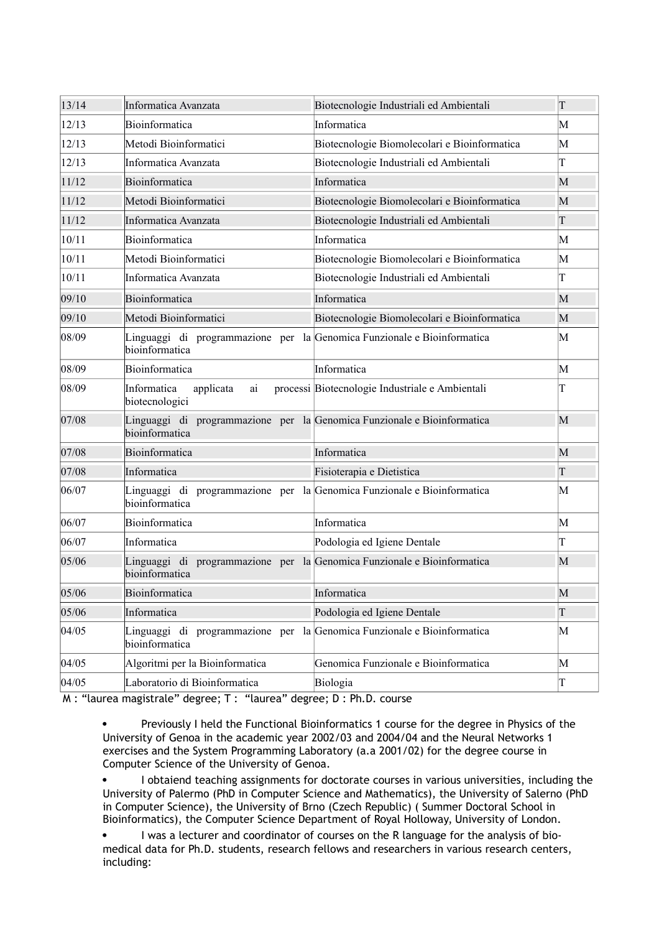| 13/14 | Informatica Avanzata                                                                      | Biotecnologie Industriali ed Ambientali         | $\overline{\Gamma}$ |
|-------|-------------------------------------------------------------------------------------------|-------------------------------------------------|---------------------|
| 12/13 | Bioinformatica                                                                            | Informatica                                     | М                   |
| 12/13 | Metodi Bioinformatici                                                                     | Biotecnologie Biomolecolari e Bioinformatica    | M                   |
| 12/13 | Informatica Avanzata                                                                      | Biotecnologie Industriali ed Ambientali         | T                   |
| 11/12 | Bioinformatica                                                                            | Informatica                                     | M                   |
| 11/12 | Metodi Bioinformatici                                                                     | Biotecnologie Biomolecolari e Bioinformatica    | M                   |
| 11/12 | Informatica Avanzata                                                                      | Biotecnologie Industriali ed Ambientali         | T                   |
| 10/11 | Bioinformatica                                                                            | Informatica                                     | M                   |
| 10/11 | Metodi Bioinformatici                                                                     | Biotecnologie Biomolecolari e Bioinformatica    | M                   |
| 10/11 | Informatica Avanzata                                                                      | Biotecnologie Industriali ed Ambientali         | T                   |
| 09/10 | Bioinformatica                                                                            | Informatica                                     | M                   |
| 09/10 | Metodi Bioinformatici                                                                     | Biotecnologie Biomolecolari e Bioinformatica    | M                   |
| 08/09 | Linguaggi di programmazione per la Genomica Funzionale e Bioinformatica<br>bioinformatica |                                                 | M                   |
| 08/09 | Bioinformatica                                                                            | Informatica                                     | M                   |
| 08/09 | Informatica<br>applicata<br>ai<br>biotecnologici                                          | processi Biotecnologie Industriale e Ambientali | T                   |
| 07/08 | Linguaggi di programmazione per la Genomica Funzionale e Bioinformatica<br>bioinformatica |                                                 | M                   |
| 07/08 | Bioinformatica                                                                            | Informatica                                     | M                   |
| 07/08 | Informatica                                                                               | Fisioterapia e Dietistica                       | T                   |
| 06/07 | Linguaggi di programmazione per la Genomica Funzionale e Bioinformatica<br>bioinformatica |                                                 | M                   |
| 06/07 | Bioinformatica                                                                            | Informatica                                     | M                   |
| 06/07 | Informatica                                                                               | Podologia ed Igiene Dentale                     | T                   |
| 05/06 | Linguaggi di programmazione per la Genomica Funzionale e Bioinformatica<br>bioinformatica |                                                 | M                   |
| 05/06 | Bioinformatica                                                                            | Informatica                                     | M                   |
| 05/06 | Informatica                                                                               | Podologia ed Igiene Dentale                     | $\overline{T}$      |
| 04/05 | Linguaggi di programmazione per<br>bioinformatica                                         | la Genomica Funzionale e Bioinformatica         | M                   |
| 04/05 | Algoritmi per la Bioinformatica                                                           | Genomica Funzionale e Bioinformatica            | M                   |
| 04/05 | Laboratorio di Bioinformatica                                                             | Biologia                                        | T                   |

M : "laurea magistrale" degree; T : "laurea" degree; D : Ph.D. course

 Previously I held the Functional Bioinformatics 1 course for the degree in Physics of the University of Genoa in the academic year 2002/03 and 2004/04 and the Neural Networks 1 exercises and the System Programming Laboratory (a.a 2001/02) for the degree course in Computer Science of the University of Genoa.

 I obtaiend teaching assignments for doctorate courses in various universities, including the University of Palermo (PhD in Computer Science and Mathematics), the University of Salerno (PhD in Computer Science), the University of Brno (Czech Republic) ( Summer Doctoral School in Bioinformatics), the Computer Science Department of Royal Holloway, University of London.

 I was a lecturer and coordinator of courses on the R language for the analysis of biomedical data for Ph.D. students, research fellows and researchers in various research centers, including: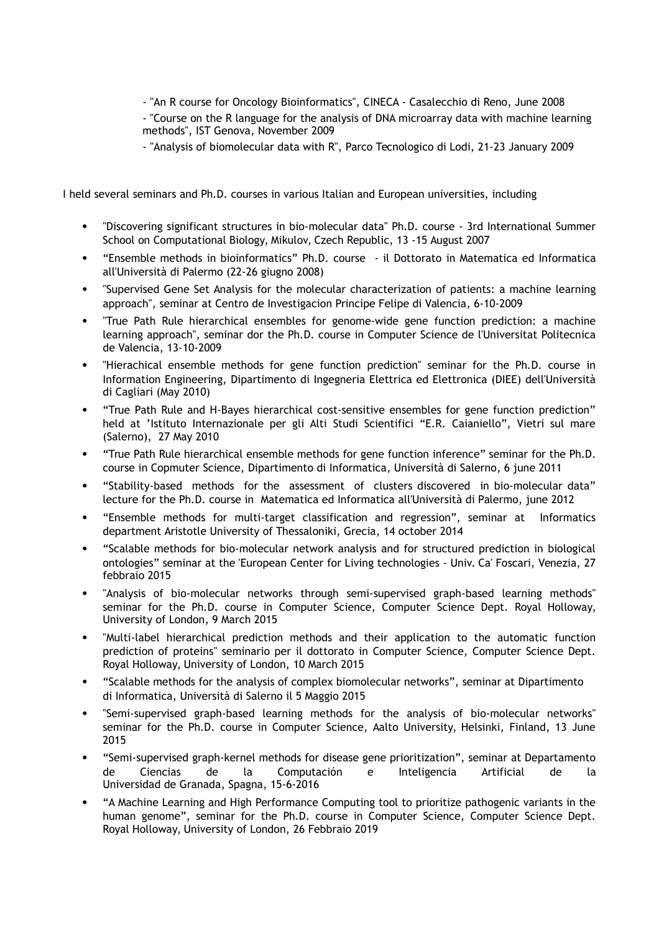- "An R course for Oncology Bioinformatics", CINECA - Casalecchio di Reno, June 2008 - "Course on the R language for the analysis of DNA microarray data with machine learning methods", IST Genova, November 2009

- "Analysis of biomolecular data with R", Parco Tecnologico di Lodi, 21-23 January 2009

I held several seminars and Ph.D. courses in various Italian and European universities, including

- "Discovering significant structures in bio-molecular data" Ph.D. course 3rd International Summer School on Computational Biology, Mikulov, Czech Republic, 13 -15 August 2007
- "Ensemble methods in bioinformatics" Ph.D. course il Dottorato in Matematica ed Informatica all'Università di Palermo (22-26 giugno 2008)
- "Supervised Gene Set Analysis for the molecular characterization of patients: a machine learning approach", seminar at Centro de Investigacion Principe Felipe di Valencia, 6-10-2009
- "True Path Rule hierarchical ensembles for genome-wide gene function prediction: a machine learning approach", seminar dor the Ph.D. course in Computer Science de l'Universitat Politecnica de Valencia, 13-10-2009
- "Hierachical ensemble methods for gene function prediction" seminar for the Ph.D. course in Information Engineering, Dipartimento di Ingegneria Elettrica ed Elettronica (DIEE) dell'Università di Cagliari (May 2010)
- "True Path Rule and H-Bayes hierarchical cost-sensitive ensembles for gene function prediction" held at 'Istituto Internazionale per gli Alti Studi Scientifici "E.R. Caianiello", Vietri sul mare (Salerno), 27 May 2010
- "True Path Rule hierarchical ensemble methods for gene function inference" seminar for the Ph.D. course in Copmuter Science, Dipartimento di Informatica, Università di Salerno, 6 june 2011
- "Stability-based methods for the assessment of clusters discovered in bio-molecular data" lecture for the Ph.D. course in Matematica ed Informatica all'Università di Palermo, june 2012
- "Ensemble methods for multi-target classification and regression", seminar at Informatics department Aristotle University of Thessaloniki, Grecia, 14 october 2014
- "Scalable methods for bio-molecular network analysis and for structured prediction in biological ontologies" seminar at the 'European Center for Living technologies - Univ. Ca' Foscari, Venezia, 27 febbraio 2015
- "Analysis of bio-molecular networks through semi-supervised graph-based learning methods" seminar for the Ph.D. course in Computer Science, Computer Science Dept. Royal Holloway, University of London, 9 March 2015
- "Multi-label hierarchical prediction methods and their application to the automatic function prediction of proteins" seminario per il dottorato in Computer Science, Computer Science Dept. Royal Holloway, University of London, 10 March 2015
- "Scalable methods for the analysis of complex biomolecular networks", seminar at Dipartimento di Informatica, Università di Salerno il 5 Maggio 2015
- "Semi-supervised graph-based learning methods for the analysis of bio-molecular networks" seminar for the Ph.D. course in Computer Science, Aalto University, Helsinki, Finland, 13 June 2015
- "Semi-supervised graph-kernel methods for disease gene prioritization", seminar at Departamento de Ciencias de la Computación e Inteligencia Artificial de la Universidad de Granada, Spagna, 15-6-2016
- "A Machine Learning and High Performance Computing tool to prioritize pathogenic variants in the human genome", seminar for the Ph.D. course in Computer Science, Computer Science Dept. Royal Holloway, University of London, 26 Febbraio 2019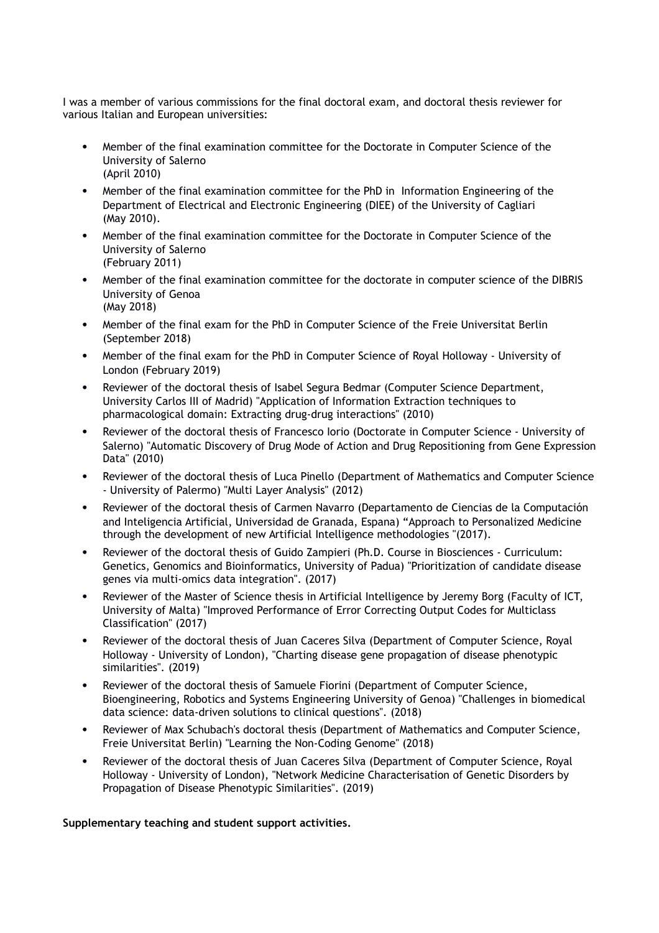I was a member of various commissions for the final doctoral exam, and doctoral thesis reviewer for various Italian and European universities:

- Member of the final examination committee for the Doctorate in Computer Science of the University of Salerno (April 2010)
- Member of the final examination committee for the PhD in Information Engineering of the Department of Electrical and Electronic Engineering (DIEE) of the University of Cagliari (May 2010).
- Member of the final examination committee for the Doctorate in Computer Science of the University of Salerno (February 2011)
- Member of the final examination committee for the doctorate in computer science of the DIBRIS University of Genoa (May 2018)
- Member of the final exam for the PhD in Computer Science of the Freie Universitat Berlin (September 2018)
- Member of the final exam for the PhD in Computer Science of Royal Holloway University of London (February 2019)
- Reviewer of the doctoral thesis of Isabel Segura Bedmar (Computer Science Department, University Carlos III of Madrid) "Application of Information Extraction techniques to pharmacological domain: Extracting drug-drug interactions" (2010)
- Reviewer of the doctoral thesis of Francesco Iorio (Doctorate in Computer Science University of Salerno) "Automatic Discovery of Drug Mode of Action and Drug Repositioning from Gene Expression Data" (2010)
- Reviewer of the doctoral thesis of Luca Pinello (Department of Mathematics and Computer Science - University of Palermo) "Multi Layer Analysis" (2012)
- Reviewer of the doctoral thesis of Carmen Navarro (Departamento de Ciencias de la Computación and Inteligencia Artificial, Universidad de Granada, Espana) "Approach to Personalized Medicine through the development of new Artificial Intelligence methodologies "(2017).
- Reviewer of the doctoral thesis of Guido Zampieri (Ph.D. Course in Biosciences Curriculum: Genetics, Genomics and Bioinformatics, University of Padua) "Prioritization of candidate disease genes via multi-omics data integration". (2017)
- Reviewer of the Master of Science thesis in Artificial Intelligence by Jeremy Borg (Faculty of ICT, University of Malta) "Improved Performance of Error Correcting Output Codes for Multiclass Classification" (2017)
- Reviewer of the doctoral thesis of Juan Caceres Silva (Department of Computer Science, Royal Holloway - University of London), "Charting disease gene propagation of disease phenotypic similarities". (2019)
- Reviewer of the doctoral thesis of Samuele Fiorini (Department of Computer Science, Bioengineering, Robotics and Systems Engineering University of Genoa) "Challenges in biomedical data science: data-driven solutions to clinical questions". (2018)
- Reviewer of Max Schubach's doctoral thesis (Department of Mathematics and Computer Science, Freie Universitat Berlin) "Learning the Non-Coding Genome" (2018)
- Reviewer of the doctoral thesis of Juan Caceres Silva (Department of Computer Science, Royal Holloway - University of London), "Network Medicine Characterisation of Genetic Disorders by Propagation of Disease Phenotypic Similarities". (2019)

## **Supplementary teaching and student support activities.**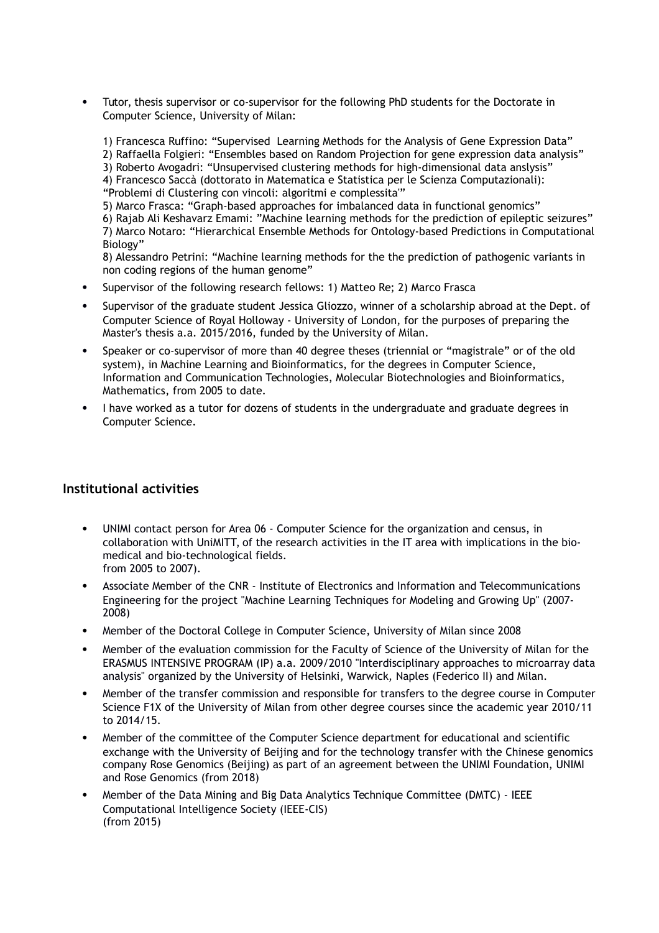Tutor, thesis supervisor or co-supervisor for the following PhD students for the Doctorate in Computer Science, University of Milan:

1) Francesca Ruffino: "Supervised Learning Methods for the Analysis of Gene Expression Data" 2) Raffaella Folgieri: "Ensembles based on Random Projection for gene expression data analysis" 3) Roberto Avogadri: "Unsupervised clustering methods for high-dimensional data anslysis" 4) Francesco Saccà (dottorato in Matematica e Statistica per le Scienza Computazionali): "Problemi di Clustering con vincoli: algoritmi e complessita'" 5) Marco Frasca: "Graph-based approaches for imbalanced data in functional genomics" 6) Rajab Ali Keshavarz Emami: "Machine learning methods for the prediction of epileptic seizures" 7) Marco Notaro: "Hierarchical Ensemble Methods for Ontology-based Predictions in Computational Biology"

8) Alessandro Petrini: "Machine learning methods for the the prediction of pathogenic variants in non coding regions of the human genome"

- Supervisor of the following research fellows: 1) Matteo Re; 2) Marco Frasca
- Supervisor of the graduate student Jessica Gliozzo, winner of a scholarship abroad at the Dept. of Computer Science of Royal Holloway - University of London, for the purposes of preparing the Master's thesis a.a. 2015/2016, funded by the University of Milan.
- Speaker or co-supervisor of more than 40 degree theses (triennial or "magistrale" or of the old system), in Machine Learning and Bioinformatics, for the degrees in Computer Science, Information and Communication Technologies, Molecular Biotechnologies and Bioinformatics, Mathematics, from 2005 to date.
- I have worked as a tutor for dozens of students in the undergraduate and graduate degrees in Computer Science.

# **Institutional activities**

- UNIMI contact person for Area 06 Computer Science for the organization and census, in collaboration with UniMITT, of the research activities in the IT area with implications in the biomedical and bio-technological fields. from 2005 to 2007).
- Associate Member of the CNR Institute of Electronics and Information and Telecommunications Engineering for the project "Machine Learning Techniques for Modeling and Growing Up" (2007- 2008)
- Member of the Doctoral College in Computer Science, University of Milan since 2008
- Member of the evaluation commission for the Faculty of Science of the University of Milan for the ERASMUS INTENSIVE PROGRAM (IP) a.a. 2009/2010 "Interdisciplinary approaches to microarray data analysis" organized by the University of Helsinki, Warwick, Naples (Federico II) and Milan.
- Member of the transfer commission and responsible for transfers to the degree course in Computer Science F1X of the University of Milan from other degree courses since the academic year 2010/11 to 2014/15.
- Member of the committee of the Computer Science department for educational and scientific exchange with the University of Beijing and for the technology transfer with the Chinese genomics company Rose Genomics (Beijing) as part of an agreement between the UNIMI Foundation, UNIMI and Rose Genomics (from 2018)
- Member of the Data Mining and Big Data Analytics Technique Committee (DMTC) IEEE Computational Intelligence Society (IEEE-CIS) (from 2015)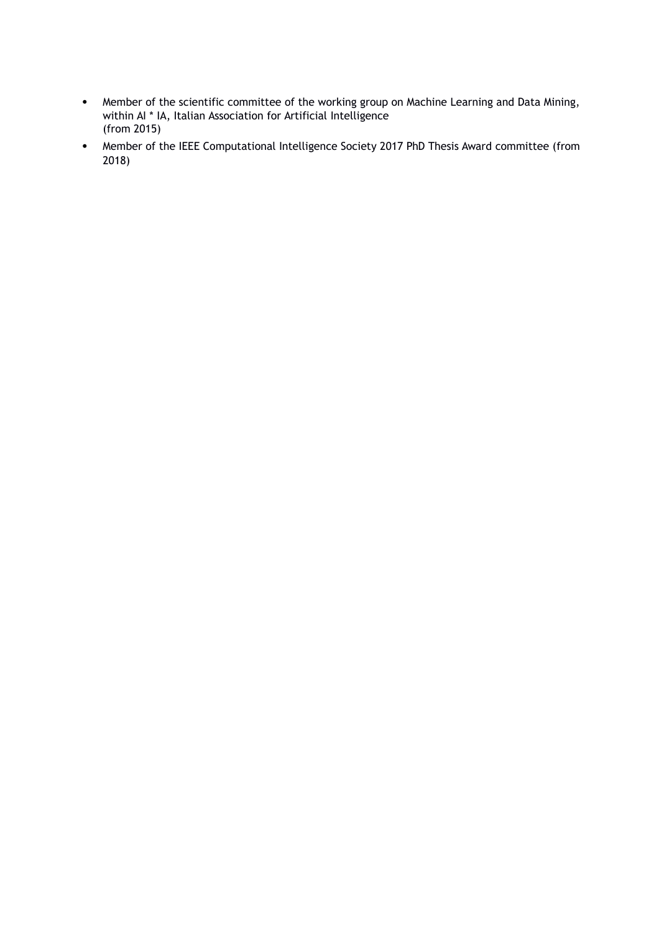- Member of the scientific committee of the working group on Machine Learning and Data Mining, within AI \* IA, Italian Association for Artificial Intelligence (from 2015)
- Member of the IEEE Computational Intelligence Society 2017 PhD Thesis Award committee (from 2018)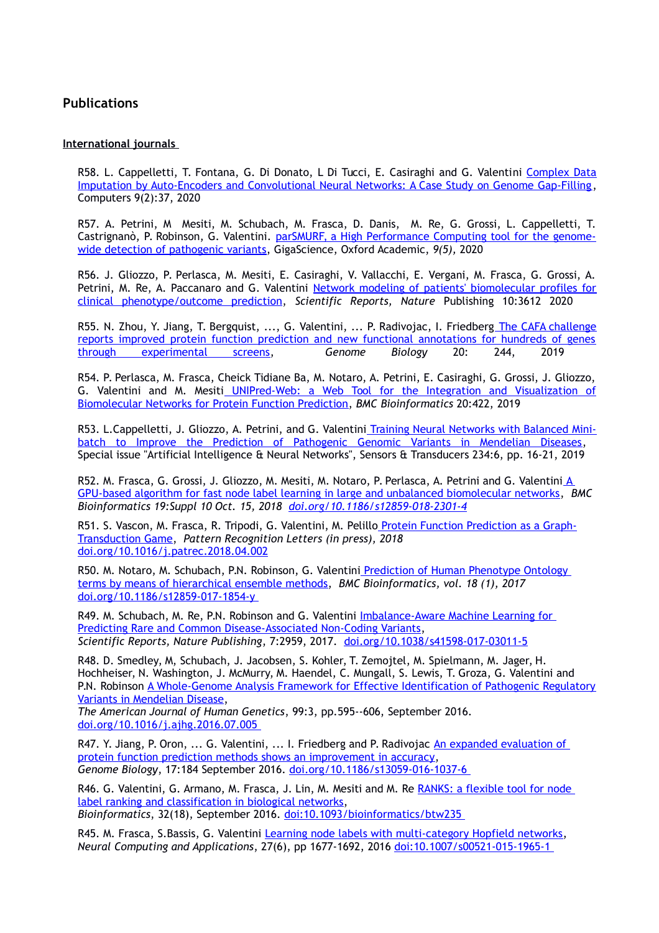# **Publications**

#### **International journals**

R58. L. Cappelletti, T. Fontana, G. Di Donato, L Di Tucci, E. Casiraghi and G. Valentini [Complex Data](https://doi.org/10.3390/computers9020037) [Imputation by Auto-Encoders and Convolutional Neural Networks: A Case Study on Genome Gap-Filling,](https://doi.org/10.3390/computers9020037) Computers 9(2):37, 2020

R57. A. Petrini, M Mesiti, M. Schubach, M. Frasca, D. Danis, M. Re, G. Grossi, L. Cappelletti, T. Castrignanò, P. Robinson, G. Valentini. [parSMURF, a High Performance Computing tool for the genome](http://dx.doi.org/10.5524/100743)[wide detection of pathogenic variants,](http://dx.doi.org/10.5524/100743) GigaScience, Oxford Academic, *9(5),* 2020

R56. J. Gliozzo, P. Perlasca, M. Mesiti, E. Casiraghi, V. Vallacchi, E. Vergani, M. Frasca, G. Grossi, A. Petrini, M. Re, A. Paccanaro and G. Valentini [Network modeling of patients' biomolecular profiles for](http://homes.dsi.unimi.it/valentini/papers/P_Net_revision2.pdf) [clinical phenotype/outcome prediction,](http://homes.dsi.unimi.it/valentini/papers/P_Net_revision2.pdf) *Scientific Reports, Nature* Publishing 10:3612 2020

R55. N. Zhou, Y. Jiang, T. Bergquist, ..., G. Valentini, ... P. Radivojac, I. Friedber[g The CAFA challenge](https://doi.org/10.1186/s13059-019-1835-8) [reports improved protein function prediction and new functional annotations for hundreds of genes](https://doi.org/10.1186/s13059-019-1835-8) [through experimental screens,](https://doi.org/10.1186/s13059-019-1835-8) *Genome Biology* 20: 244, 2019

R54. P. Perlasca, M. Frasca, Cheick Tidiane Ba, M. Notaro, A. Petrini, E. Casiraghi, G. Grossi, J. Gliozzo, G. Valentini and M. Mesit[i UNIPred-Web: a Web Tool for the Integration and Visualization of](http://homes.dsi.unimi.it/valentini/papers/UNIPredWeb.pdf) [Biomolecular Networks for Protein Function Prediction,](http://homes.dsi.unimi.it/valentini/papers/UNIPredWeb.pdf) *BMC Bioinformatics* 20:422, 2019

R53. L.Cappelletti, J. Gliozzo, A. Petrini, and G. Valentin[i Training Neural Networks with Balanced Mini](http://homes.dsi.unimi.it/valentini/papers/NN-mini-batch-Mendelian.pdf)[batch to Improve the Prediction of Pathogenic Genomic Variants in Mendelian Diseases,](http://homes.dsi.unimi.it/valentini/papers/NN-mini-batch-Mendelian.pdf) Special issue "Artificial Intelligence & Neural Networks", Sensors & Transducers 234:6, pp. 16-21, 2019

R52. M. Frasca, G. Grossi, J. Gliozzo, M. Mesiti, M. Notaro, P. Perlasca, A. Petrini and G. Valentini A GPU-based algorithm for fast node label learning in large and unbalanced biomolecular networks, *BMC Bioinformatics 19:Suppl 10 Oct. 15, 2018 [doi.org/10.1186/s12859-018-2301-4](https://doi.org/10.1186/s12859-018-2301-4)*

R51. S. Vascon, M. Frasca, R. Tripodi, G. Valentini, M. Pelillo Protein Function Prediction as a Graph-Transduction Game, *Pattern Recognition Letters (in press), 2018* doi.org/10.1016/j.patrec.2018.04.002

R50. M. Notaro, M. Schubach, P.N. Robinson, G. Valentini Prediction of Human Phenotype Ontology terms by means of hierarchical ensemble methods, *BMC Bioinformatics, vol. 18 (1), 2017* doi.org/10.1186/s12859-017-1854-y

R49. M. Schubach, M. Re, P.N. Robinson and G. Valentini *Imbalance-Aware Machine Learning for* Predicting Rare and Common Disease-Associated Non-Coding Variants, *Scientific Reports, Nature Publishing*, 7:2959, 2017. doi.org[/10.1038/s41598-017-03011-5](https://doi.org/10.1038/s41598-017-03011-5)

R48. D. Smedley, M, Schubach, J. Jacobsen, S. Kohler, T. Zemojtel, M. Spielmann, M. Jager, H. Hochheiser, N. Washington, J. McMurry, M. Haendel, C. Mungall, S. Lewis, T. Groza, G. Valentini and P.N. Robinson A Whole-Genome Analysis Framework for Effective Identification of Pathogenic Regulatory Variants in Mendelian Disease,

*The American Journal of Human Genetics*, 99:3, pp.595--606, September 2016. doi.org/10.1016/j.ajhg.2016.07.005

R47. Y. Jiang, P. Oron, ... G. Valentini, ... I. Friedberg and P. Radivojac An expanded evaluation of protein function prediction methods shows an improvement in accuracy, *Genome Biology*, 17:184 September 2016. doi.org/10.1186/s13059-016-1037-6

R46. G. Valentini, G. Armano, M. Frasca, J. Lin, M. Mesiti and M. Re RANKS: a flexible tool for node label ranking and classification in biological networks, *Bioinformatics*, 32(18), September 2016. doi:10.1093/bioinformatics/btw235

R45. M. Frasca, S.Bassis, G. Valentini Learning node labels with multi-category Hopfield networks, *Neural Computing and Applications*, 27(6), pp 1677-1692, 2016 doi:10.1007/s00521-015-1965-1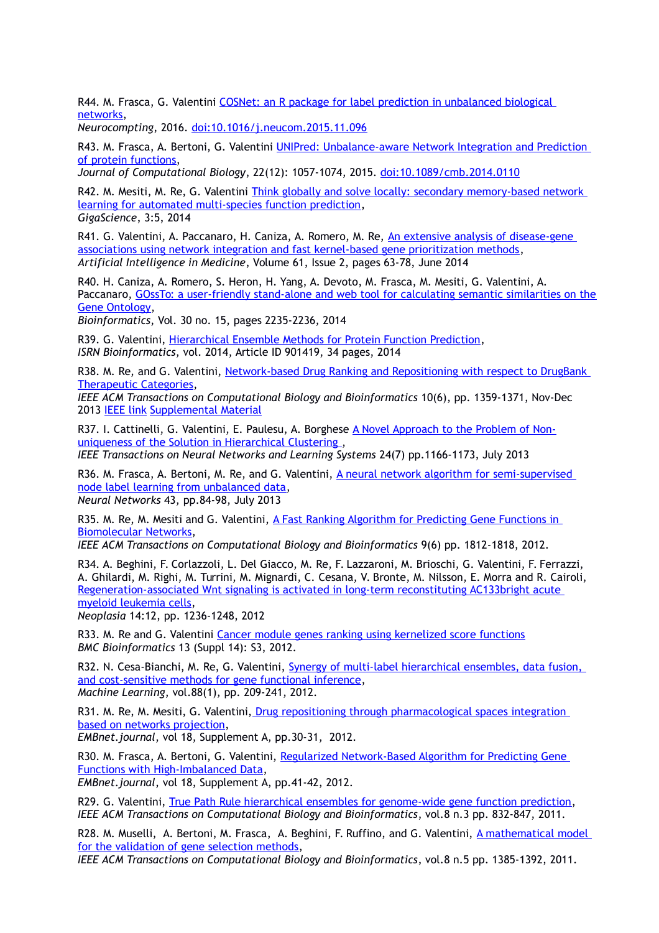R44. M. Frasca, G. Valentini COSNet: an R package for label prediction in unbalanced biological networks,

*Neurocompting*, 2016. doi:10.1016/j.neucom.2015.11.096

R43. M. Frasca, A. Bertoni, G. Valentini UNIPred: Unbalance-aware Network Integration and Prediction of protein functions,

*Journal of Computational Biology*, 22(12): 1057-1074, 2015. doi:10.1089/cmb.2014.0110

R42. M. Mesiti, M. Re, G. Valentini Think globally and solve locally: secondary memory-based network learning for automated multi-species function prediction, *GigaScience*, 3:5, 2014

R41. G. Valentini, A. Paccanaro, H. Caniza, A. Romero, M. Re, An extensive analysis of disease-gene associations using network integration and fast kernel-based gene prioritization methods, *Artificial Intelligence in Medicine*, Volume 61, Issue 2, pages 63-78, June 2014

R40. H. Caniza, A. Romero, S. Heron, H. Yang, A. Devoto, M. Frasca, M. Mesiti, G. Valentini, A. Paccanaro, GOssTo: a user-friendly stand-alone and web tool for calculating semantic similarities on the Gene Ontology,

*Bioinformatics*, Vol. 30 no. 15, pages 2235-2236, 2014

R39. G. Valentini, Hierarchical Ensemble Methods for Protein Function Prediction, *ISRN Bioinformatics*, vol. 2014, Article ID 901419, 34 pages, 2014

R38. M. Re, and G. Valentini, Network-based Drug Ranking and Repositioning with respect to DrugBank Therapeutic Categories,

*IEEE ACM Transactions on Computational Biology and Bioinformatics* 10(6), pp. 1359-1371, Nov-Dec 2013 IEEE link Supplemental Material

R37. I. Cattinelli, G. Valentini, E. Paulesu, A. Borghese [A Novel Approach to the Problem of Non](http://homes.dsi.unimi.it/valentini/papers/non-uniqueness-in-HC_TNN-LS-2012-04_IC.pdf)uniqueness of the Solution in Hierarchical Clustering, *IEEE Transactions on Neural Networks and Learning Systems* 24(7) pp.1166-1173, July 2013

R36. M. Frasca, A. Bertoni, M. Re, and G. Valentini, A neural network algorithm for semi-supervised [node label learning from unbalanced data,](http://homes.dsi.unimi.it/valentini/papers/COSNet.2nd_rev.pdf) *Neural Networks* 43, pp.84-98, July 2013

R35. M. Re, M. Mesiti and G. Valentini, [A Fast Ranking Algorithm for Predicting Gene Functions in](http://homes.dsi.unimi.it/valentini/papers/re-mesiti-vale-TCBB.rev2.pdf)  [Biomolecular Networks,](http://homes.dsi.unimi.it/valentini/papers/re-mesiti-vale-TCBB.rev2.pdf)

*IEEE ACM Transactions on Computational Biology and Bioinformatics* 9(6) pp. 1812-1818, 2012.

R34. A. Beghini, F. Corlazzoli, L. Del Giacco, M. Re, F. Lazzaroni, M. Brioschi, G. Valentini, F. Ferrazzi, A. Ghilardi, M. Righi, M. Turrini, M. Mignardi, C. Cesana, V. Bronte, M. Nilsson, E. Morra and R. Cairoli, [Regeneration-associated Wnt signaling is activated in long-term reconstituting AC133bright acute](http://homes.dsi.unimi.it/valentini/papers/neoplasiaBeghini.pdf)  [myeloid leukemia cells,](http://homes.dsi.unimi.it/valentini/papers/neoplasiaBeghini.pdf)

*Neoplasia* 14:12, pp. 1236-1248, 2012

R33. M. Re and G. Valentini Cancer module genes ranking using kernelized score functions *BMC Bioinformatics* 13 (Suppl 14): S3, 2012.

R32. N. Cesa-Bianchi, M. Re, G. Valentini, **Synergy of multi-label hierarchical ensembles**, data fusion, [and cost-sensitive methods for gene functional inference,](http://homes.dsi.unimi.it/valentini/papers/cesa-re-vale-mld.mlj.rev.pdf) *Machine Learning*, vol.88(1), pp. 209-241, 2012.

R31. M. Re, M. Mesiti, G. Valentini[, Drug repositioning through pharmacological spaces integration](http://journal.embnet.org/index.php/embnetjournal/article/view/398)  [based on networks projection,](http://journal.embnet.org/index.php/embnetjournal/article/view/398)

*EMBnet.journal*, vol 18, Supplement A, pp.30-31, 2012.

R30. M. Frasca, A. Bertoni, G. Valentini, Regularized Network-Based Algorithm for Predicting Gene [Functions with High-Imbalanced Data,](http://journal.embnet.org/index.php/embnetjournal/article/view/377) *EMBnet.journal*, vol 18, Supplement A, pp.41-42, 2012.

R29. G. Valentini, [True Path Rule hierarchical ensembles for genome-wide gene function prediction,](http://homes.dsi.unimi.it/valentini/papers/vale-TPR-TCBB.revised.pdf) *IEEE ACM Transactions on Computational Biology and Bioinformatics*, vol.8 n.3 pp. 832-847, 2011.

R28. M. Muselli, A. Bertoni, M. Frasca, A. Beghini, F. Ruffino, and G. Valentini, [A mathematical model](http://homes.dsi.unimi.it/valentini/papers/model.gene.sel.TCBB.preprint.pdf)  [for the validation of gene selection methods,](http://homes.dsi.unimi.it/valentini/papers/model.gene.sel.TCBB.preprint.pdf)

*IEEE ACM Transactions on Computational Biology and Bioinformatics*, vol.8 n.5 pp. 1385-1392, 2011.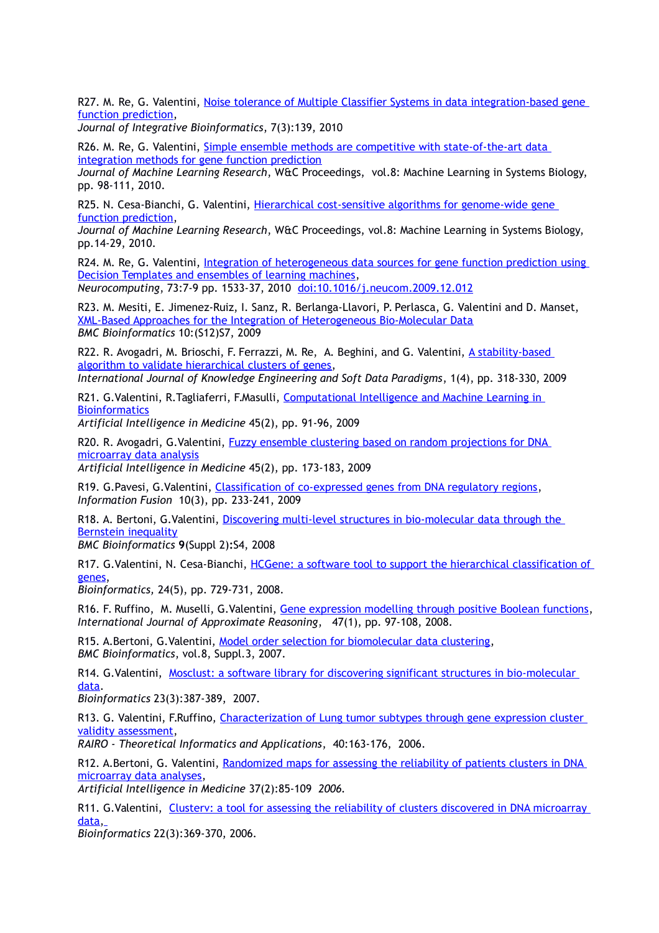R27. M. Re, G. Valentini, Noise tolerance of Multiple Classifier Systems in data integration-based gene [function prediction,](http://journal.imbio.de/article.php?aid=139)

*Journal of Integrative Bioinformatics*, 7(3):139, 2010

R26. M. Re, G. Valentini, Simple ensemble methods are competitive with state-of-the-art data [integration methods for gene function prediction](http://jmlr.csail.mit.edu/proceedings/papers/v8/re10a/re10a.pdf)

*Journal of Machine Learning Research*, W&C Proceedings, vol.8: Machine Learning in Systems Biology, pp. 98-111, 2010.

R25. N. Cesa-Bianchi, G. Valentini, [Hierarchical cost-sensitive algorithms for genome-wide gene](http://jmlr.csail.mit.edu/proceedings/papers/v8/cesa-bianchi10a/cesa-bianchi10a.pdf)  [function prediction,](http://jmlr.csail.mit.edu/proceedings/papers/v8/cesa-bianchi10a/cesa-bianchi10a.pdf)

*Journal of Machine Learning Research*, W&C Proceedings, vol.8: Machine Learning in Systems Biology, pp.14-29, 2010.

R24. M. Re, G. Valentini, Integration of heterogeneous data sources for gene function prediction using [Decision Templates and ensembles of learning machines,](http://homes.dsi.unimi.it/valentini/papers/re-vale-revised-NC.pdf)

*Neurocomputing*, 73:7-9 pp. 1533-37, 2010 doi:10.1016/j.neucom.2009.12.012

R23. M. Mesiti, E. Jimenez-Ruiz, I. Sanz, R. Berlanga-Llavori, P. Perlasca, G. Valentini and D. Manset, [XML-Based Approaches for the Integration of Heterogeneous Bio-Molecular Data](http://www.biomedcentral.com/1471-2105/10/S12/S7) *BMC Bioinformatics* 10:(S12)S7, 2009

R22. R. Avogadri, M. Brioschi, F. Ferrazzi, M. Re, A. Beghini, and G. Valentini, A stability-based [algorithm to validate hierarchical clusters of genes,](http://homes.dsi.unimi.it/valentini/papers/IJKESDP010402.published.pdf)

*International Journal of Knowledge Engineering and Soft Data Paradigms*, 1(4), pp. 318-330, 2009

R21. G.Valentini, R.Tagliaferri, F.Masulli, [Computational Intelligence and Machine Learning in](http://homes.dsi.unimi.it/valentini/papers/AIIM.SI.editorial.revised.pdf)  **[Bioinformatics](http://homes.dsi.unimi.it/valentini/papers/AIIM.SI.editorial.revised.pdf)** 

*Artificial Intelligence in Medicine* 45(2), pp. 91-96, 2009

R20. R. Avogadri, G. Valentini, Fuzzy ensemble clustering based on random projections for DNA [microarray data analysis](http://homes.dsi.unimi.it/valentini/papers/avo-vale-fuzzyens-AIIM-final.pdf)

*Artificial Intelligence in Medicine* 45(2), pp. 173-183, 2009

R19. G.Pavesi, G.Valentini, [Classification of co-expressed genes from DNA regulatory regions,](http://homes.dsi.unimi.it/valentini/papers/pavesi-vale-IF-last.pdf) *Information Fusion* 10(3), pp. 233-241, 2009

R18. A. Bertoni, G.Valentini, [Discovering multi-level structures in bio-molecular data through the](http://www.biomedcentral.com/1471-2105/9/S2/S4)  [Bernstein inequality](http://www.biomedcentral.com/1471-2105/9/S2/S4)

*BMC Bioinformatics* **9**(Suppl 2)**:**S4, 2008

R17. G.Valentini, N. Cesa-Bianchi, [HCGene: a software tool to support the hierarchical classification of](http://bioinformatics.oxfordjournals.org/cgi/content/abstract/btn015?ijkey=mXxVIQSDzBpbzp2&keytype=ref)  [genes,](http://bioinformatics.oxfordjournals.org/cgi/content/abstract/btn015?ijkey=mXxVIQSDzBpbzp2&keytype=ref)

*Bioinformatics,* 24(5), pp. 729-731, 2008.

R16. F. Ruffino, M. Muselli, G. Valentini, [Gene expression modelling through positive Boolean functions,](http://homes.dsi.unimi.it/valentini/papers/gene-modeling.pdf) *International Journal of Approximate Reasoning*, 47(1), pp. 97-108, 2008.

R15. A.Bertoni, G.Valentini, [Model order selection for biomolecular data clustering,](http://www.biomedcentral.com/1471-2105/8/S2/S7) *BMC Bioinformatics*, vol.8, Suppl.3, 2007.

R14. G.Valentini, [Mosclust: a software library for discovering significant structures in bio-molecular](http://bioinformatics.oxfordjournals.org/cgi/content/abstract/btl600?ijkey=DhJzmdDEcSQHVvg&keytype=ref)  [data.](http://bioinformatics.oxfordjournals.org/cgi/content/abstract/btl600?ijkey=DhJzmdDEcSQHVvg&keytype=ref)

*Bioinformatics* 23(3):387-389, 2007.

R13. G. Valentini, F.Ruffino, [Characterization of Lung tumor subtypes through gene expression cluster](http://homes.dsi.unimi.it/valentini/papers/vale-ruf-cl-lung-revised.pdf)  [validity assessment,](http://homes.dsi.unimi.it/valentini/papers/vale-ruf-cl-lung-revised.pdf)

*RAIRO - Theoretical Informatics and Applications*, 40:163-176, 2006.

R12. A.Bertoni, G. Valentini, [Randomized maps for assessing the reliability of patients clusters in DNA](http://homes.dsi.unimi.it/valentini/papers/cluster-stability-AIM-final.pdf)  [microarray data analyses,](http://homes.dsi.unimi.it/valentini/papers/cluster-stability-AIM-final.pdf)

*Artificial Intelligence in Medicine* 37(2):85-109 *2006.*

R11. G.Valentini, [Clusterv: a tool for assessing the reliability of clusters discovered in DNA microarray](http://bioinformatics.oxfordjournals.org/cgi/content/abstract/bti817?ijkey=TF1uY26HMNzMuWl&keytype=ref)  [data,](http://bioinformatics.oxfordjournals.org/cgi/content/abstract/bti817?ijkey=TF1uY26HMNzMuWl&keytype=ref)

*Bioinformatics* 22(3):369-370, 2006.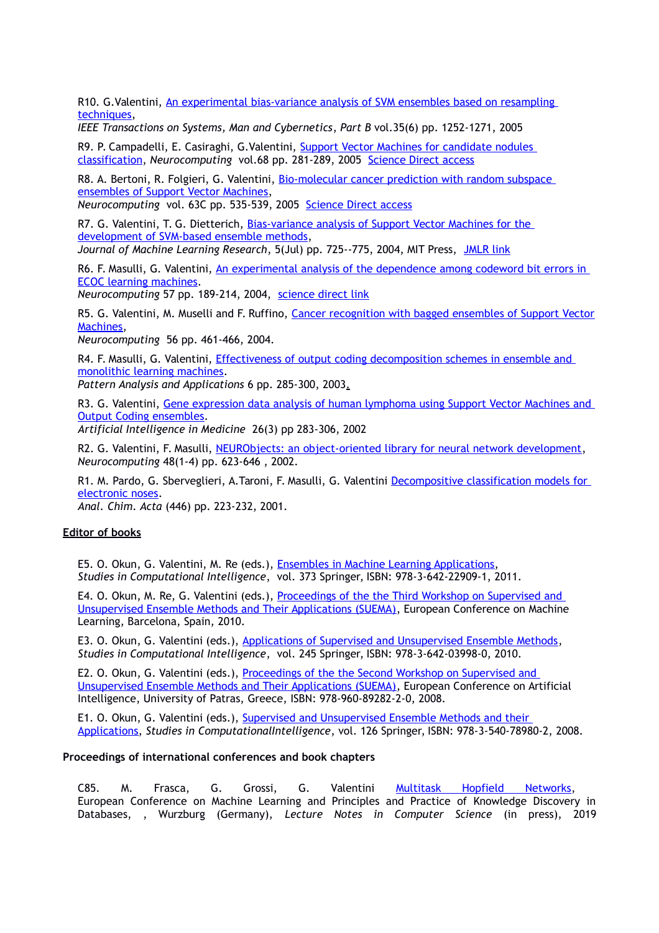R10. G.Valentini, [An experimental bias-variance analysis of SVM ensembles based on resampling](http://homes.dsi.unimi.it/~valenti/papers/rb-svm-ieee-revised-final.pdf)  [techniques,](http://homes.dsi.unimi.it/~valenti/papers/rb-svm-ieee-revised-final.pdf)

*IEEE Transactions on Systems, Man and Cybernetics*, *Part B* vol.35(6) pp. 1252-1271, 2005

R9. P. Campadelli, E. Casiraghi, G. Valentini, Support Vector Machines for candidate nodules [classification,](http://homes.dsi.unimi.it/~valenti/papers/NoduleNeuro-revised2.pdf) *Neurocomputing* vol.68 pp. 281-289, 2005 [Science Direct access](http://www.sciencedirect.com/science?_ob=ArticleURL&_udi=B6V10-4G7NSVH-1&_coverDate=10%2F31%2F2005&_alid=341996541&_rdoc=1&_fmt=&_orig=search&_qd=1&_cdi=5660&_sort=d&view=c&_acct=C000050221&_version=1&_urlVersion=0&_userid=10&md5=a8a900ab31430c29f13f0d7b81db4975)

R8. A. Bertoni, R. Folgieri, G. Valentini, Bio-molecular cancer prediction with random subspace [ensembles of Support Vector Machines,](http://homes.dsi.unimi.it/~valenti/papers/rs-nc.pdf)

*Neurocomputing* vol. 63C pp. 535-539, 2005 [Science Direct access](http://www.sciencedirect.com/science?_ob=ArticleURL&_udi=B6V10-4DYW50X-3&_user=10&_handle=V-WA-A-W-BV-MsSAYVW-UUW-U-AABZCCYWDB-AABVABEUDB-CWVEBVCEA-BV-U&_fmt=summary&_coverDate=01%2F01%2F2005&_rdoc=29&_orig=browse&_srch=%23toc%235660%232005%23999369999%23574644!&_cdi=5660&view=c&_acct=C000050221&_version=1&_urlVersion=0&_userid=10&md5=3e162ad6d74251b4de9d3b0f8f0b29a7)

R7. G. Valentini, T. G. Dietterich, Bias-variance analysis of Support Vector Machines for the [development of SVM-based ensemble methods,](http://homes.dsi.unimi.it/~valenti/papers/valentini04a.ps.gz) *Journal of Machine Learning Research*, 5(Jul) pp. 725--775, 2004, MIT Press, [JMLR link](http://www.jmlr.org/papers/v5/valentini04a.html)

R6. F. Masulli, G. Valentini, [An experimental analysis of the dependence among codeword bit errors in](http://homes.dsi.unimi.it/~valenti/papers/valentiniECOCmutual.ps.gz)  [ECOC learning machines.](http://homes.dsi.unimi.it/~valenti/papers/valentiniECOCmutual.ps.gz)

*Neurocomputing* 57 pp. 189-214, 2004, [science direct link](http://authors.elsevier.com/redirect/http://www.sciencedirect.com/science?_ob=GatewayURL&_origin=AUGATEWAY&_method=citationSearch&_piikey=S0925231203005113&_version=1&md5=57d952c5a04dad9c70cabcba71901abd)

R5. G. Valentini, M. Muselli and F. Ruffino, [Cancer recognition with bagged ensembles of Support Vector](http://homes.dsi.unimi.it/valentini/papers/bag-svm-cancer-letter-revised.pdf) [Machines,](http://homes.dsi.unimi.it/valentini/papers/bag-svm-cancer-letter-revised.pdf)

*Neurocomputing* 56 pp. 461-466, 2004.

R4. F. Masulli, G. Valentini, *Effectiveness of output coding decomposition schemes in ensemble and* [monolithic learning machines.](http://homes.dsi.unimi.it/~valenti/papers/ECOCPAA-pretty.ps.gz)

*Pattern Analysis and Applications* 6 pp. 285-300, 2003.

R3. G. Valentini, [Gene expression data analysis of human lymphoma using Support Vector Machines and](http://www.sciencedirect.com/science/article/pii/S0933365702000775)  [Output Coding ensembles.](http://www.sciencedirect.com/science/article/pii/S0933365702000775)

*Artificial Intelligence in Medicine* 26(3) pp 283-306, 2002

R2. G. Valentini, F. Masulli, [NEURObjects: an object-oriented library for neural network development,](ftp://ftp.disi.unige.it/person/ValentiniG/papers/NEURObjects.ps.gz) *Neurocomputing* 48(1-4) pp. 623-646 , 2002.

R1. M. Pardo, G. Sberveglieri, A.Taroni, F. Masulli, G. Valentini [Decompositive classification models for](http://www.sciencedirect.com/science?_ob=ArticleURL&_udi=B6TF4-44B2FHT-R&_user=10&_rdoc=1&_fmt=&_orig=search&_sort=d&view=c&_acct=C000050221&_version=1&_urlVersion=0&_userid=10&md5=e2f4ec79591d0d97ad7fc68edf40bc72)  [electronic noses.](http://www.sciencedirect.com/science?_ob=ArticleURL&_udi=B6TF4-44B2FHT-R&_user=10&_rdoc=1&_fmt=&_orig=search&_sort=d&view=c&_acct=C000050221&_version=1&_urlVersion=0&_userid=10&md5=e2f4ec79591d0d97ad7fc68edf40bc72)

*Anal. Chim. Acta* (446) pp. 223-232, 2001.

#### **Editor of books**

E5. O. Okun, G. Valentini, M. Re (eds.), [Ensembles in Machine Learning Applications,](http://www.springer.com/engineering/computational+intelligence+and+complexity/book/978-3-642-22909-1) *Studies in Computational Intelligence*, vol. 373 Springer, ISBN: 978-3-642-22909-1, 2011.

E4. O. Okun, M. Re, G. Valentini (eds.), [Proceedings of the the Third Workshop on Supervised and](http://suema10.dsi.unimi.it/suemafiles/SUEMA10_proceedings.pdf)  [Unsupervised Ensemble Methods and Their Applications \(SUEMA\),](http://suema10.dsi.unimi.it/suemafiles/SUEMA10_proceedings.pdf) European Conference on Machine Learning, Barcelona, Spain, 2010.

E3. O. Okun, G. Valentini (eds.), [Applications of Supervised and Unsupervised Ensemble Methods,](http://www.springer.com/engineering/book/978-3-642-03998-0) *Studies in Computational Intelligence*, vol. 245 Springer, ISBN: 978-3-642-03998-0, 2010.

E2. O. Okun, G. Valentini (eds.), Proceedings of the the Second Workshop on Supervised and [Unsupervised Ensemble Methods and Their Applications \(SUEMA\),](http://homes.dsi.unimi.it/valentini/papers/SUEMA_Proceedings.pdf) European Conference on Artificial Intelligence, University of Patras, Greece, ISBN: 978-960-89282-2-0, 2008.

E1. O. Okun, G. Valentini (eds.), [Supervised and Unsupervised Ensemble Methods and their](http://www.springer.com/engineering/book/978-3-540-78980-2)  [Applications,](http://www.springer.com/engineering/book/978-3-540-78980-2) *Studies in ComputationalIntelligence*, vol. 126 Springer, ISBN: 978-3-540-78980-2, 2008.

### **Proceedings of international conferences and book chapters**

C85. M. Frasca, G. Grossi, G. Valentini [Multitask Hopfield Networks,](http://homes.dsi.unimi.it/valentini/papers/Multitask_Hopfield_Networks.pdf) European Conference on Machine Learning and Principles and Practice of Knowledge Discovery in Databases, , Wurzburg (Germany), *Lecture Notes in Computer Science* (in press), 2019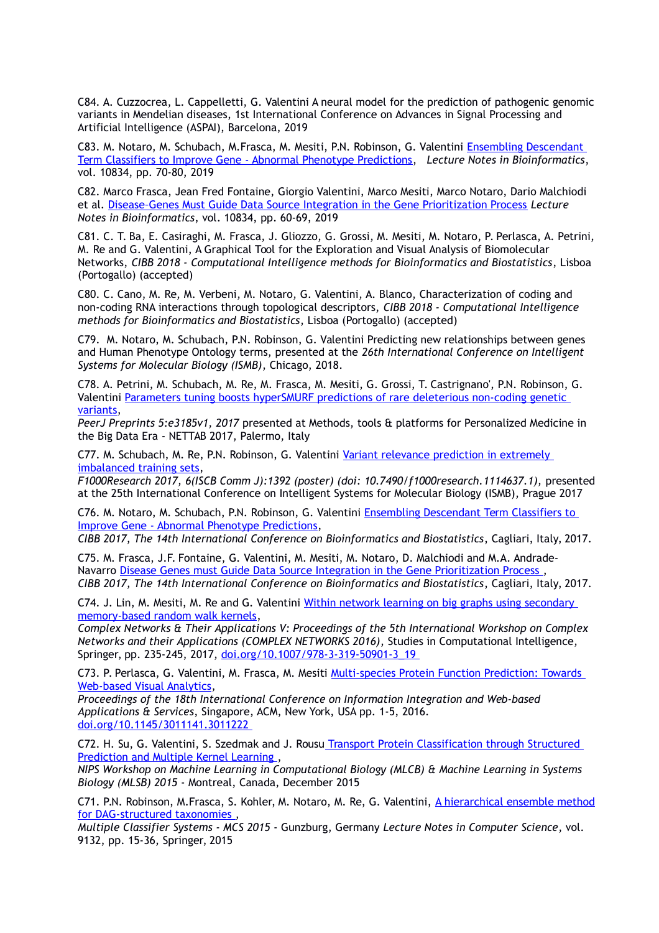C84. A. Cuzzocrea, L. Cappelletti, G. Valentini A neural model for the prediction of pathogenic genomic variants in Mendelian diseases, 1st International Conference on Advances in Signal Processing and Artificial Intelligence (ASPAI), Barcelona, 2019

C83. M. Notaro, M. Schubach, M.Frasca, M. Mesiti, P.N. Robinson, G. Valentini [Ensembling Descendant](http://homes.dsi.unimi.it/valentini/papers/DESCENS_LNBI_final.pdf)  [Term Classifiers to Improve Gene - Abnormal Phenotype Predictions,](http://homes.dsi.unimi.it/valentini/papers/DESCENS_LNBI_final.pdf) *Lecture Notes in Bioinformatics*, vol. 10834, pp. 70-80, 2019

C82. Marco Frasca, Jean Fred Fontaine, Giorgio Valentini, Marco Mesiti, Marco Notaro, Dario Malchiodi et al. [Disease–Genes Must Guide Data Source Integration in the Gene Prioritization Process](https://link.springer.com/chapter/10.1007/978-3-030-14160-8_7) *Lecture Notes in Bioinformatics*, vol. 10834, pp. 60-69, 2019

C81. C. T. Ba, E. Casiraghi, M. Frasca, J. Gliozzo, G. Grossi, M. Mesiti, M. Notaro, P. Perlasca, A. Petrini, M. Re and G. Valentini, A Graphical Tool for the Exploration and Visual Analysis of Biomolecular Networks, *CIBB 2018 - Computational Intelligence methods for Bioinformatics and Biostatistics*, Lisboa (Portogallo) (accepted)

C80. C. Cano, M. Re, M. Verbeni, M. Notaro, G. Valentini, A. Blanco, Characterization of coding and non-coding RNA interactions through topological descriptors, *CIBB 2018 - Computational Intelligence methods for Bioinformatics and Biostatistics*, Lisboa (Portogallo) (accepted)

C79. M. Notaro, M. Schubach, P.N. Robinson, G. Valentini Predicting new relationships between genes and Human Phenotype Ontology terms, presented at the *26th International Conference on Intelligent Systems for Molecular Biology (ISMB)*, Chicago, 2018.

C78. A. Petrini, M. Schubach, M. Re, M. Frasca, M. Mesiti, G. Grossi, T. Castrignano', P.N. Robinson, G. Valentini Parameters tuning boosts hyperSMURF predictions of rare deleterious non-coding genetic variants,

*PeerJ Preprints 5:e3185v1, 2017* presented at Methods, tools & platforms for Personalized Medicine in the Big Data Era - NETTAB 2017, Palermo, Italy

C77. M. Schubach, M. Re, P.N. Robinson, G. Valentini Variant relevance prediction in extremely imbalanced training sets,

*F1000Research 2017, 6(ISCB Comm J):1392 (poster) (doi: 10.7490/f1000research.1114637.1),* presented at the 25th International Conference on Intelligent Systems for Molecular Biology (ISMB), Prague 2017

C76. M. Notaro, M. Schubach, P.N. Robinson, G. Valentini Ensembling Descendant Term Classifiers to Improve Gene - Abnormal Phenotype Predictions,

*CIBB 2017, The 14th International Conference on Bioinformatics and Biostatistics*, Cagliari, Italy, 2017.

C75. M. Frasca, J.F. Fontaine, G. Valentini, M. Mesiti, M. Notaro, D. Malchiodi and M.A. Andrade-Navarro Disease Genes must Guide Data Source Integration in the Gene Prioritization Process , *CIBB 2017, The 14th International Conference on Bioinformatics and Biostatistics*, Cagliari, Italy, 2017.

C74. J. Lin, M. Mesiti, M. Re and G. Valentini Within network learning on big graphs using secondary memory-based random walk kernels,

*Complex Networks & Their Applications V: Proceedings of the 5th International Workshop on Complex Networks and their Applications (COMPLEX NETWORKS 2016)*, Studies in Computational Intelligence, Springer, pp. 235-245, 2017, doi.org/10.1007/978-3-319-50901-3\_19

C73. P. Perlasca, G. Valentini, M. Frasca, M. Mesiti Multi-species Protein Function Prediction: Towards Web-based Visual Analytics,

*Proceedings of the 18th International Conference on Information Integration and Web-based Applications & Services*, Singapore, ACM, New York, USA pp. 1-5, 2016. doi.org/10.1145/3011141.3011222

C72. H. Su, G. Valentini, S. Szedmak and J. Rousu Transport Protein Classification through Structured Prediction and Multiple Kernel Learning ,

*NIPS Workshop on Machine Learning in Computational Biology (MLCB) & Machine Learning in Systems Biology (MLSB) 2015* - Montreal, Canada, December 2015

C71. P.N. Robinson, M.Frasca, S. Kohler, M. Notaro, M. Re, G. Valentini, A hierarchical ensemble method for DAG-structured taxonomies ,

*Multiple Classifier Systems - MCS 2015* - Gunzburg, Germany *Lecture Notes in Computer Science*, vol. 9132, pp. 15-36, Springer, 2015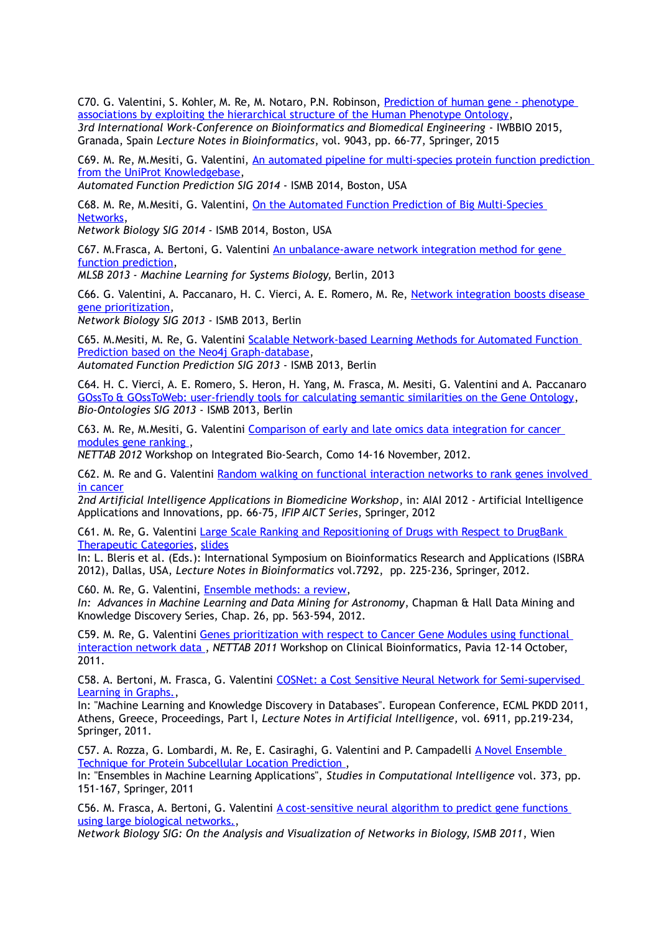C70. G. Valentini, S. Kohler, M. Re, M. Notaro, P.N. Robinson, Prediction of human gene - phenotype associations by exploiting the hierarchical structure of the Human Phenotype Ontology, *3rd International Work-Conference on Bioinformatics and Biomedical Engineering* - IWBBIO 2015, Granada, Spain *Lecture Notes in Bioinformatics*, vol. 9043, pp. 66-77, Springer, 2015

C69. M. Re, M.Mesiti, G. Valentini, An automated pipeline for multi-species protein function prediction from the UniProt Knowledgebase,

*Automated Function Prediction SIG 2014* - ISMB 2014, Boston, USA

C68. M. Re, M.Mesiti, G. Valentini, On the Automated Function Prediction of Big Multi-Species Networks,

*Network Biology SIG 2014* - ISMB 2014, Boston, USA

C67. M.Frasca, A. Bertoni, G. Valentini An unbalance-aware network integration method for gene function prediction,

*MLSB 2013 - Machine Learning for Systems Biology,* Berlin, 2013

C66. G. Valentini, A. Paccanaro, H. C. Vierci, A. E. Romero, M. Re, Network integration boosts disease gene prioritization,

*Network Biology SIG 2013* - ISMB 2013, Berlin

C65. M.Mesiti, M. Re, G. Valentini Scalable Network-based Learning Methods for Automated Function Prediction based on the Neo4j Graph-database,

*Automated Function Prediction SIG 2013* - ISMB 2013, Berlin

C64. H. C. Vierci, A. E. Romero, S. Heron, H. Yang, M. Frasca, M. Mesiti, G. Valentini and A. Paccanaro GOssTo & GOssToWeb: user-friendly tools for calculating semantic similarities on the Gene Ontology, *Bio-Ontologies SIG 2013* - ISMB 2013, Berlin

C63. M. Re, M.Mesiti, G. Valentini [Comparison of early and late omics data integration for cancer](http://homes.dsi.unimi.it/valentini/papers/remesitivale_Nettab2012.pdf)  [modules gene ranking ,](http://homes.dsi.unimi.it/valentini/papers/remesitivale_Nettab2012.pdf)

*NETTAB 2012* Workshop on Integrated Bio-Search, Como 14-16 November, 2012.

C62. M. Re and G. Valentini Random walking on functional interaction networks to rank genes involved [in cancer](http://homes.dsi.unimi.it/valentini/papers/re-vale-AIAB12.pdf)

*2nd Artificial Intelligence Applications in Biomedicine Workshop*, in: AIAI 2012 - Artificial Intelligence Applications and Innovations, pp. 66-75*, IFIP AICT Series*, Springer, 2012

C61. M. Re, G. Valentini [Large Scale Ranking and Repositioning of Drugs with Respect to DrugBank](http://homes.dsi.unimi.it/valentini/papers/re-vale-ISBRA2012-rev.pdf)  [Therapeutic Categories,](http://homes.dsi.unimi.it/valentini/papers/re-vale-ISBRA2012-rev.pdf) [slides](http://homes.dsi.unimi.it/valentini/SLIDES/re-vale-ISBRA2012.pdf)

In: L. Bleris et al. (Eds.): International Symposium on Bioinformatics Research and Applications (ISBRA 2012), Dallas, USA, *Lecture Notes in Bioinformatics* vol.7292, pp. 225-236, Springer, 2012.

C60. M. Re, G. Valentini, [Ensemble methods: a review,](http://homes.dsi.unimi.it/valentini/papers/ens.review.revised.pdf)

*In: Advances in Machine Learning and Data Mining for Astronomy*, Chapman & Hall Data Mining and Knowledge Discovery Series, Chap. 26, pp. 563-594, 2012.

C59. M. Re, G. Valentini [Genes prioritization with respect to Cancer Gene Modules using functional](http://homes.dsi.unimi.it/valentini/papers/ReValentiniNETTAB11posterpaper3.pdf)  [interaction network data ,](http://homes.dsi.unimi.it/valentini/papers/ReValentiniNETTAB11posterpaper3.pdf) *NETTAB 2011* Workshop on Clinical Bioinformatics, Pavia 12-14 October, 2011.

C58. A. Bertoni, M. Frasca, G. Valentini [COSNet: a Cost Sensitive Neural Network for Semi-supervised](http://homes.dsi.unimi.it/valentini/papers/bertoni_347.pdf)  [Learning in Graphs.,](http://homes.dsi.unimi.it/valentini/papers/bertoni_347.pdf)

In: "Machine Learning and Knowledge Discovery in Databases". European Conference, ECML PKDD 2011, Athens, Greece, Proceedings, Part I, *Lecture Notes in Artificial Intelligence,* vol. 6911, pp.219-234, Springer, 2011.

C57. A. Rozza, G. Lombardi, M. Re, E. Casiraghi, G. Valentini and P. Campadelli [A Novel Ensemble](http://www.springerlink.com/content/978-3-642-22909-1#section=950776&page=1&locus=0)  [Technique for Protein Subcellular Location Prediction ,](http://www.springerlink.com/content/978-3-642-22909-1#section=950776&page=1&locus=0)

In: "Ensembles in Machine Learning Applications", *Studies in Computational Intelligence* vol. 373, pp. 151-167, Springer, 2011

C56. M. Frasca, A. Bertoni, G. Valentini [A cost-sensitive neural algorithm to predict gene functions](http://homes.dsi.unimi.it/valentini/papers/FrascaNetworkBiology-ISCB-SIG.pdf)  [using large biological networks.,](http://homes.dsi.unimi.it/valentini/papers/FrascaNetworkBiology-ISCB-SIG.pdf)

*Network Biology SIG: On the Analysis and Visualization of Networks in Biology, ISMB 2011*, Wien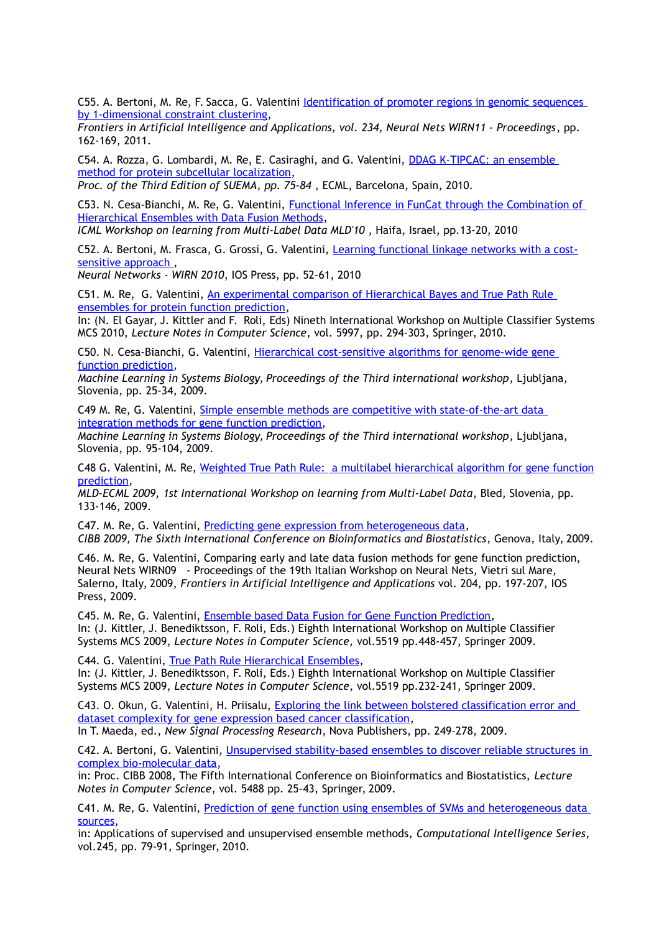C55. A. Bertoni, M. Re, F. Sacca, G. Valentini *Identification of promoter regions in genomic sequences* [by 1-dimensional constraint clustering,](http://homes.dsi.unimi.it/valentini/papers/FAIA234-0162.pdf)

*Frontiers in Artificial Intelligence and Applications, vol. 234, Neural Nets WIRN11 - Proceedings*, pp. 162-169, 2011.

C54. A. Rozza, G. Lombardi, M. Re, E. Casiraghi, and G. Valentini, [DDAG K-TIPCAC: an ensemble](http://homes.dsi.unimi.it/valentini/papers/RozzaSUEMA2010.pdf)  [method for protein subcellular localization,](http://homes.dsi.unimi.it/valentini/papers/RozzaSUEMA2010.pdf) *Proc. of the Third Edition of SUEMA, pp. 75-84* , ECML, Barcelona, Spain, 2010.

C53. N. Cesa-Bianchi, M. Re, G. Valentini, [Functional Inference in FunCat through the Combination of](http://homes.dsi.unimi.it/valentini/papers/cesa-re-vale.ICML.MLD10.rev.pdf)  [Hierarchical Ensembles with Data Fusion Methods,](http://homes.dsi.unimi.it/valentini/papers/cesa-re-vale.ICML.MLD10.rev.pdf)

*ICML Workshop on learning from Multi-Label Data MLD'10* , Haifa, Israel, pp.13-20, 2010

C52. A. Bertoni, M. Frasca, G. Grossi, G. Valentini, [Learning functional linkage networks with a cost](http://homes.dsi.unimi.it/valentini/papers/Hopfield_WIRN2010_published.pdf)[sensitive approach ,](http://homes.dsi.unimi.it/valentini/papers/Hopfield_WIRN2010_published.pdf)

*Neural Networks - WIRN 2010*, IOS Press, pp. 52-61, 2010

C51. M. Re, G. Valentini, [An experimental comparison of Hierarchical Bayes and True Path Rule](http://homes.dsi.unimi.it/valentini/papers/re-vale-MCS2010.final.pdf)  [ensembles for protein function prediction,](http://homes.dsi.unimi.it/valentini/papers/re-vale-MCS2010.final.pdf)

In: (N. El Gayar, J. Kittler and F. Roli, Eds) Nineth International Workshop on Multiple Classifier Systems MCS 2010, *Lecture Notes in Computer Science*, vol. 5997, pp. 294-303, Springer, 2010.

C50. N. Cesa-Bianchi, G. Valentini, [Hierarchical cost-sensitive algorithms for genome-wide gene](http://homes.dsi.unimi.it/valentini/papers/cb-vale-revised-MLSB09.pdf)  [function prediction,](http://homes.dsi.unimi.it/valentini/papers/cb-vale-revised-MLSB09.pdf)

*Machine Learning in Systems Biology, Proceedings of the Third international workshop*, Ljubljana, Slovenia, pp. 25-34, 2009.

C49 M. Re, G. Valentini, [Simple ensemble methods are competitive with state-of-the-art data](http://homes.dsi.unimi.it/valentini/papers/re-vale-revised-MLSB09.pdf)  [integration methods for gene function prediction,](http://homes.dsi.unimi.it/valentini/papers/re-vale-revised-MLSB09.pdf)

*Machine Learning in Systems Biology, Proceedings of the Third international workshop*, Ljubljana, Slovenia, pp. 95-104, 2009.

C48 G. Valentini, M. Re, [Weighted True Path Rule: a multilabel hierarchical algorithm for gene function](http://homes.dsi.unimi.it/valentini/papers/vale-re-ECML09.revised.pdf) [prediction,](http://homes.dsi.unimi.it/valentini/papers/vale-re-ECML09.revised.pdf)

*MLD-ECML 2009, 1st International Workshop on learning from Multi-Label Data*, Bled, Slovenia, pp. 133-146, 2009.

C47. M. Re, G. Valentini, [Predicting gene expression from heterogeneous data,](http://homes.dsi.unimi.it/valentini/papers/re-vale-cibb09.5.pdf) *CIBB 2009, The Sixth International Conference on Bioinformatics and Biostatistics*, Genova, Italy, 2009.

C46. M. Re, G. Valentini, Comparing early and late data fusion methods for gene function prediction, Neural Nets WIRN09 - Proceedings of the 19th Italian Workshop on Neural Nets, Vietri sul Mare, Salerno, Italy, 2009, *Frontiers in Artificial Intelligence and Applications* vol. 204, pp. 197-207, IOS Press, 2009.

C45. M. Re, G. Valentini, [Ensemble based Data Fusion for Gene Function Prediction,](http://homes.dsi.unimi.it/valentini/papers/re-vale-MCS2009-revised.pdf) In: (J. Kittler, J. Benediktsson, F. Roli, Eds.) Eighth International Workshop on Multiple Classifier Systems MCS 2009, *Lecture Notes in Computer Science,* vol.5519 pp.448-457, Springer 2009.

C44. G. Valentini, [True Path Rule Hierarchical Ensembles,](http://homes.dsi.unimi.it/valentini/papers/vale.TPR.hier.revised.pdf) In: (J. Kittler, J. Benediktsson, F. Roli, Eds.) Eighth International Workshop on Multiple Classifier Systems MCS 2009, *Lecture Notes in Computer Science*, vol.5519 pp.232-241, Springer 2009.

C43. O. Okun, G. Valentini, H. Priisalu, [Exploring the link between bolstered classification error and](http://homes.dsi.unimi.it/valentini/papers/okun_et_al-CP.pdf)  [dataset complexity for gene expression based cancer classification,](http://homes.dsi.unimi.it/valentini/papers/okun_et_al-CP.pdf)

In T. Maeda, ed., *New Signal Processing Research*, Nova Publishers, pp. 249-278, 2009.

C42. A. Bertoni, G. Valentini, [Unsupervised stability-based ensembles to discover reliable structures in](http://homes.dsi.unimi.it/valentini/papers/vale-CIBB08-invited.pdf)  [complex bio-molecular data,](http://homes.dsi.unimi.it/valentini/papers/vale-CIBB08-invited.pdf)

in: Proc. CIBB 2008, The Fifth International Conference on Bioinformatics and Biostatistics, *Lecture Notes in Computer Science*, vol. 5488 pp. 25-43, Springer, 2009.

C41. M. Re, G. Valentini, [Prediction of gene function using ensembles of SVMs and heterogeneous data](http://homes.dsi.unimi.it/valentini/papers/re-vale-IntegGeneFunEns.rev.pdf)  [sources,](http://homes.dsi.unimi.it/valentini/papers/re-vale-IntegGeneFunEns.rev.pdf)

in: Applications of supervised and unsupervised ensemble methods, *Computational Intelligence Series*, vol.245, pp. 79-91, Springer, 2010.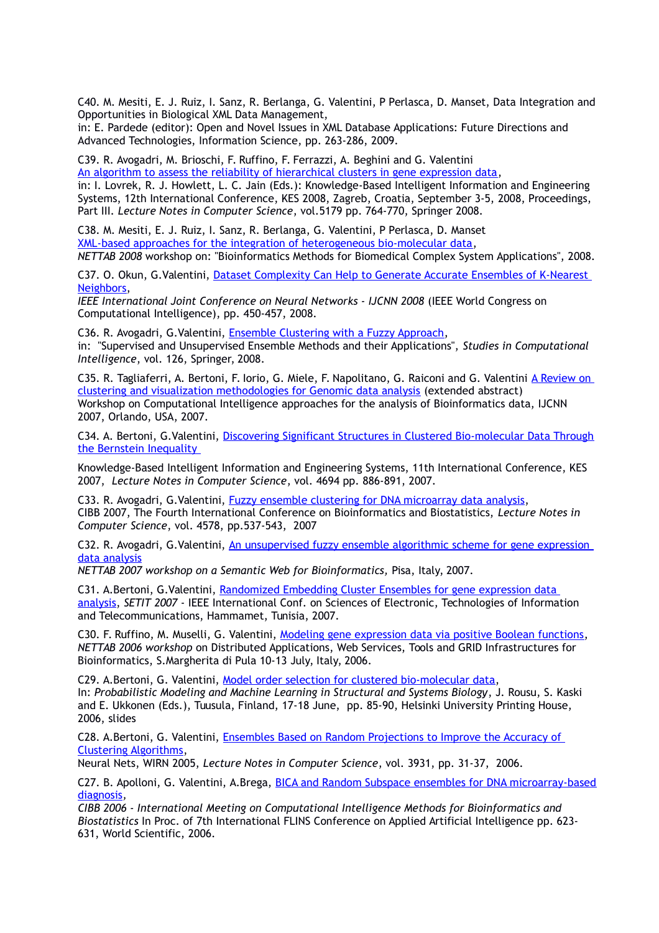C40. M. Mesiti, E. J. Ruiz, I. Sanz, R. Berlanga, G. Valentini, P Perlasca, D. Manset, Data Integration and Opportunities in Biological XML Data Management,

in: E. Pardede (editor): Open and Novel Issues in XML Database Applications: Future Directions and Advanced Technologies, Information Science, pp. 263-286, 2009.

C39. R. Avogadri, M. Brioschi, F. Ruffino, F. Ferrazzi, A. Beghini and G. Valentini [An algorithm to assess the reliability of hierarchical clusters in gene expression data,](http://homes.dsi.unimi.it/valentini/papers/avo-vale-KES2008.pdf) in: I. Lovrek, R. J. Howlett, L. C. Jain (Eds.): Knowledge-Based Intelligent Information and Engineering Systems, 12th International Conference, KES 2008, Zagreb, Croatia, September 3-5, 2008, Proceedings, Part III. *Lecture Notes in Computer Science*, vol.5179 pp. 764-770, Springer 2008.

C38. M. Mesiti, E. J. Ruiz, I. Sanz, R. Berlanga, G. Valentini, P Perlasca, D. Manset [XML-based approaches for the integration of heterogeneous bio-molecular data,](http://homes.dsi.unimi.it/valentini/papers/MesitiNETTAB.pdf) *NETTAB 2008* workshop on: "Bioinformatics Methods for Biomedical Complex System Applications", 2008.

C37. O. Okun, G. Valentini, Dataset Complexity Can Help to Generate Accurate Ensembles of K-Nearest [Neighbors,](http://homes.dsi.unimi.it/valentini/papers/Oleg-WCCI08.pdf)

*IEEE International Joint Conference on Neural Networks - IJCNN 2008* (IEEE World Congress on Computational Intelligence), pp. 450-457, 2008.

C36. R. Avogadri, G.Valentini, [Ensemble Clustering with a Fuzzy Approach,](http://homes.dsi.unimi.it/valentini/papers/avo-vale-Springer-suema07.pdf) in: "Supervised and Unsupervised Ensemble Methods and their Applications", *Studies in Computational Intelligence*, vol. 126, Springer, 2008.

C35. R. Tagliaferri, A. Bertoni, F. Iorio, G. Miele, F. Napolitano, G. Raiconi and G. Valentini A Review on [clustering and visualization methodologies for Genomic data analysis](http://homes.dsi.unimi.it/valentini/papers/abstract-rt2.pdf) (extended abstract) Workshop on Computational Intelligence approaches for the analysis of Bioinformatics data, IJCNN 2007, Orlando, USA, 2007.

C34. A. Bertoni, G.Valentini, [Discovering Significant Structures in Clustered Bio-molecular Data Through](http://www.springerlink.com/content/6w830t33u2854146/?p=b50a1b5ba96246e7b55e32e8a5826086&pi=1) [the Bernstein Inequality](http://www.springerlink.com/content/6w830t33u2854146/?p=b50a1b5ba96246e7b55e32e8a5826086&pi=1) 

Knowledge-Based Intelligent Information and Engineering Systems, 11th International Conference, KES 2007, *Lecture Notes in Computer Science*, vol. 4694 pp. 886-891, 2007.

C33. R. Avogadri, G.Valentini, [Fuzzy ensemble clustering for DNA microarray data analysis,](http://homes.dsi.unimi.it/valentini/papers/avo-vale-cibb07.pdf) CIBB 2007, The Fourth International Conference on Bioinformatics and Biostatistics, *Lecture Notes in Computer Science*, vol. 4578, pp.537-543, 2007

C32. R. Avogadri, G.Valentini, [An unsupervised fuzzy ensemble algorithmic scheme for gene expression](http://homes.dsi.unimi.it/valentini/papers/avo-vale-nettab07-final.pdf)  [data analysis](http://homes.dsi.unimi.it/valentini/papers/avo-vale-nettab07-final.pdf)

*NETTAB 2007 workshop on a Semantic Web for Bioinformatics,* Pisa, Italy, 2007.

C31. A.Bertoni, G.Valentini, [Randomized Embedding Cluster Ensembles for gene expression data](http://homes.dsi.unimi.it/valentini/papers/bertoni-valentini-SETIT07.pdf)  [analysis,](http://homes.dsi.unimi.it/valentini/papers/bertoni-valentini-SETIT07.pdf) *SETIT 2007* - IEEE International Conf. on Sciences of Electronic, Technologies of Information and Telecommunications, Hammamet, Tunisia, 2007.

C30. F. Ruffino, M. Muselli, G. Valentini, [Modeling gene expression data via positive Boolean functions,](http://homes.dsi.unimi.it/valentini/papers/nettab06-1.pdf) *NETTAB 2006 workshop* on Distributed Applications, Web Services, Tools and GRID Infrastructures for Bioinformatics, S.Margherita di Pula 10-13 July, Italy, 2006.

C29. A.Bertoni, G. Valentini, [Model order selection for clustered bio-molecular data,](http://homes.dsi.unimi.it/valentini/papers/bertoni-vale-pmsb06-revised.pdf) In: *Probabilistic Modeling and Machine Learning in Structural and Systems Biology*, J. Rousu, S. Kaski and E. Ukkonen (Eds.), Tuusula, Finland, 17-18 June, pp. 85-90, Helsinki University Printing House, 2006, slides

C28. A.Bertoni, G. Valentini, [Ensembles Based on Random Projections to Improve the Accuracy of](http://homes.dsi.unimi.it/valentini/papers/bertoni-vale-WIRN05.pdf)  [Clustering Algorithms,](http://homes.dsi.unimi.it/valentini/papers/bertoni-vale-WIRN05.pdf)

Neural Nets, WIRN 2005, *Lecture Notes in Computer Science*, vol. 3931, pp. 31-37, 2006.

C27. B. Apolloni, G. Valentini, A.Brega, [BICA and Random Subspace ensembles for DNA microarray-based](http://homes.dsi.unimi.it/valentini/papers/apolloni-cibb06-final.pdf) [diagnosis](http://homes.dsi.unimi.it/valentini/papers/apolloni-cibb06-final.pdf)*,* 

*CIBB 2006 - International Meeting on Computational Intelligence Methods for Bioinformatics and Biostatistics* In Proc. of 7th International FLINS Conference on Applied Artificial Intelligence pp. 623- 631, World Scientific, 2006.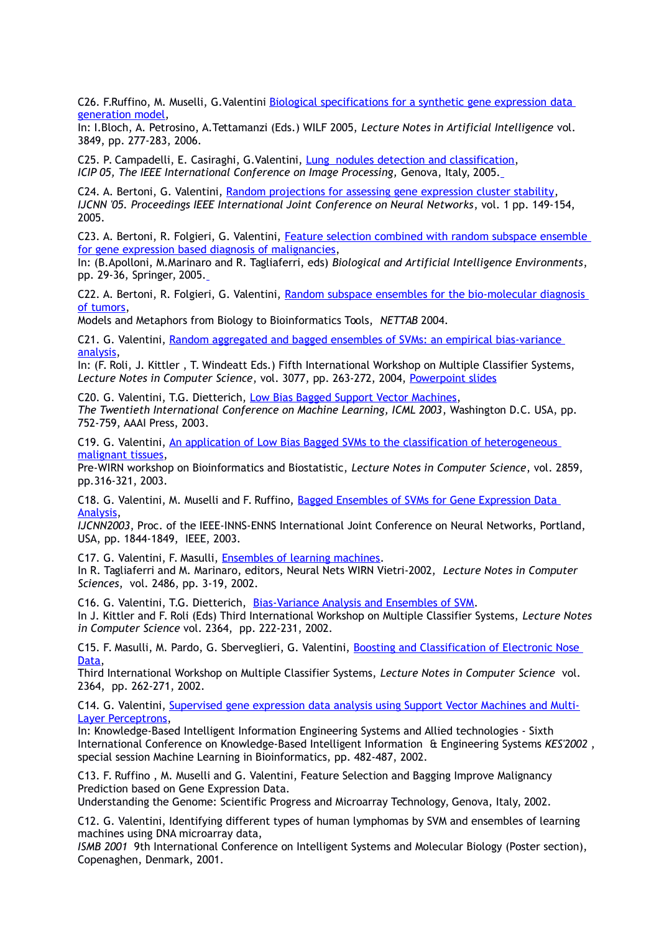C26. F.Ruffino, M. Muselli, G.Valentini Biological specifications for a synthetic gene expression data [generation model,](http://homes.dsi.unimi.it/valentini/papers/bio-spec-CIBB05.pdf)

In: I.Bloch, A. Petrosino, A.Tettamanzi (Eds.) WILF 2005, *Lecture Notes in Artificial Intelligence* vol. 3849, pp. 277-283, 2006.

C25. P. Campadelli, E. Casiraghi, G.Valentini, [Lung nodules detection and classification,](http://homes.dsi.unimi.it/~valenti/papers/ICIP2005.pdf) *ICIP 05, The IEEE International Conference on Image Processing, Genova, Italy, 2005.* 

C24. A. Bertoni, G. Valentini, [Random projections for assessing gene expression cluster stability,](http://homes.dsi.unimi.it/~valenti/papers/bertoni-vale-ijcnn05.pdf) *IJCNN '05. Proceedings IEEE International Joint Conference on Neural Networks*, vol. 1 pp. 149-154, 2005.

C23. A. Bertoni, R. Folgieri, G. Valentini, Feature selection combined with random subspace ensemble [for gene expression based diagnosis of malignancies,](http://homes.dsi.unimi.it/~valenti/papers/BertoniWIRN04.pdf)

In: (B.Apolloni, M.Marinaro and R. Tagliaferri, eds) *Biological and Artificial Intelligence Environments*, pp. 29-36, Springer, 2005.

C22. A. Bertoni, R. Folgieri, G. Valentini, Random subspace ensembles for the bio-molecular diagnosis [of tumors,](http://homes.dsi.unimi.it/~valenti/papers/NETTAB-0405.pdf)

Models and Metaphors from Biology to Bioinformatics Tools, *NETTAB* 2004.

C21. G. Valentini, [Random aggregated and bagged ensembles of SVMs: an empirical bias-variance](http://homes.dsi.unimi.it/~valenti/papers/vale-mcs2004-rev.ps.gz)  [analysis,](http://homes.dsi.unimi.it/~valenti/papers/vale-mcs2004-rev.ps.gz)

In: (F. Roli, J. Kittler , T. Windeatt Eds.) Fifth International Workshop on Multiple Classifier Systems, *Lecture Notes in Computer Science*, vol. 3077, pp. 263-272, 2004, [Powerpoint slides](http://homes.dsi.unimi.it/~valenti/SLIDES/MCS2004-color.ppt)

C20. G. Valentini, T.G. Dietterich, [Low Bias Bagged Support Vector Machines,](ftp://ftp.disi.unige.it/person/ValentiniG/papers/vale-diet-ICML03.ps.gz) *The Twentieth International Conference on Machine Learning, ICML 2003*, Washington D.C. USA, pp. 752-759, AAAI Press, 2003.

C19. G. Valentini, [An application of Low Bias Bagged SVMs to the classification of heterogeneous](ftp://ftp.disi.unige.it/person/ValentiniG/papers/wirn03-lobag.ps.gz)  [malignant tissues,](ftp://ftp.disi.unige.it/person/ValentiniG/papers/wirn03-lobag.ps.gz)

Pre-WIRN workshop on Bioinformatics and Biostatistic, *Lecture Notes in Computer Science*, vol. 2859, pp.316-321, 2003.

C18. G. Valentini, M. Muselli and F. Ruffino, [Bagged Ensembles of SVMs for Gene Expression Data](ftp://ftp.disi.unige.it/person/ValentiniG/papers/valentiniIJCNN03.ps)  [Analysis,](ftp://ftp.disi.unige.it/person/ValentiniG/papers/valentiniIJCNN03.ps)

*IJCNN2003*, Proc. of the IEEE-INNS-ENNS International Joint Conference on Neural Networks, Portland, USA, pp. 1844-1849, IEEE, 2003.

C17. G. Valentini, F. Masulli, [Ensembles of learning machines.](http://homes.dsi.unimi.it/~valenti/papers/wirn02.ps)

In R. Tagliaferri and M. Marinaro, editors, Neural Nets WIRN Vietri-2002, *Lecture Notes in Computer Sciences*, vol. 2486, pp. 3-19, 2002.

C16. G. Valentini, T.G. Dietterich, [Bias-Variance Analysis and Ensembles of SVM.](ftp://ftp.disi.unige.it/person/ValentiniG/papers/BV-MCS2002.ps.gz) In J. Kittler and F. Roli (Eds) Third International Workshop on Multiple Classifier Systems, *Lecture Notes in Computer Science* vol. 2364, pp. 222-231, 2002.

C15. F. Masulli, M. Pardo, G. Sberveglieri, G. Valentini, [Boosting and Classification of Electronic Nose](http://homes.dsi.unimi.it/valentini/papers/boost-MCS2002.pdf)  [Data,](http://homes.dsi.unimi.it/valentini/papers/boost-MCS2002.pdf)

Third International Workshop on Multiple Classifier Systems, *Lecture Notes in Computer Science* vol. 2364, pp. 262-271, 2002.

C14. G. Valentini, [Supervised gene expression data analysis using Support Vector Machines and Multi-](http://homes.dsi.unimi.it/valentini/papers/KES2002.pdf)[Layer Perceptrons,](http://homes.dsi.unimi.it/valentini/papers/KES2002.pdf)

In: Knowledge-Based Intelligent Information Engineering Systems and Allied technologies - Sixth International Conference on Knowledge-Based Intelligent Information & Engineering Systems *KES'2002* , special session Machine Learning in Bioinformatics, pp. 482-487, 2002.

C13. F. Ruffino , M. Muselli and G. Valentini, Feature Selection and Bagging Improve Malignancy Prediction based on Gene Expression Data.

Understanding the Genome: Scientific Progress and Microarray Technology, Genova, Italy, 2002.

C12. G. Valentini, Identifying different types of human lymphomas by SVM and ensembles of learning machines using DNA microarray data,

*ISMB 2001* 9th International Conference on Intelligent Systems and Molecular Biology (Poster section), Copenaghen, Denmark, 2001.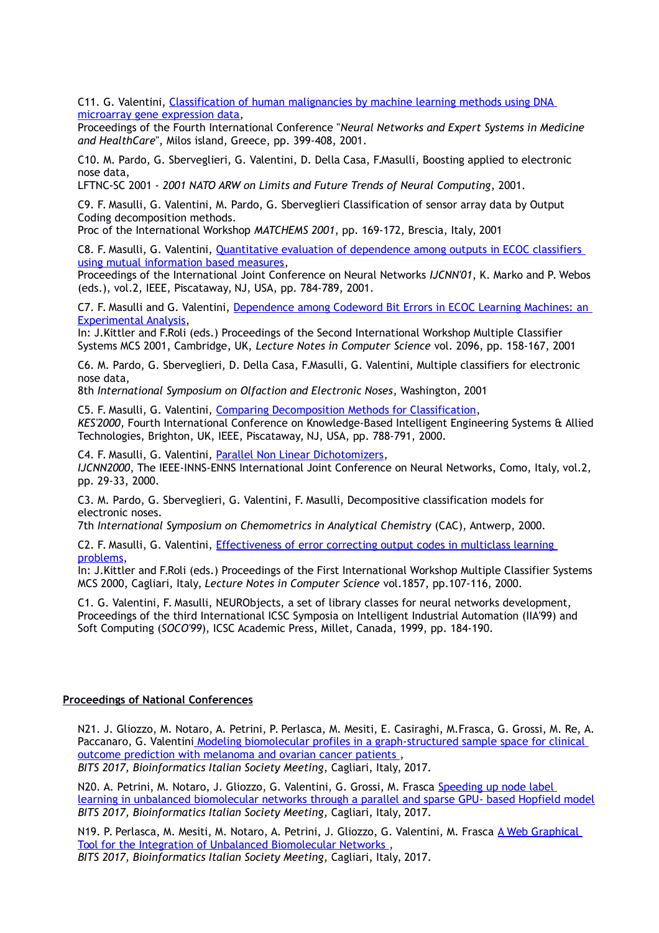C11. G. Valentini, Classification of human malignancies by machine learning methods using DNA [microarray gene expression data,](http://homes.dsi.unimi.it/valentini/papers/NNESMED2001.pdf)

Proceedings of the Fourth International Conference "*Neural Networks and Expert Systems in Medicine and HealthCare*", Milos island, Greece, pp. 399-408, 2001.

C10. M. Pardo, G. Sberveglieri, G. Valentini, D. Della Casa, F.Masulli, Boosting applied to electronic nose data,

LFTNC-SC 2001 - *2001 NATO ARW on Limits and Future Trends of Neural Computing*, 2001.

C9. F. Masulli, G. Valentini, M. Pardo, G. Sberveglieri Classification of sensor array data by Output Coding decomposition methods.

Proc of the International Workshop *MATCHEMS 2001*, pp. 169-172, Brescia, Italy, 2001

C8. F. Masulli, G. Valentini, [Quantitative evaluation of dependence among outputs in ECOC classifiers](http://homes.dsi.unimi.it/valentini/papers/mas-valIJCNN01.pdf)  [using mutual information based measures,](http://homes.dsi.unimi.it/valentini/papers/mas-valIJCNN01.pdf)

Proceedings of the International Joint Conference on Neural Networks *IJCNN'01*, K. Marko and P. Webos (eds.), vol.2, IEEE, Piscataway, NJ, USA, pp. 784-789, 2001.

C7. F. Masulli and G. Valentini, [Dependence among Codeword Bit Errors in ECOC Learning Machines: an](http://homes.dsi.unimi.it/valentini/papers/MCS2001.pdf)  [Experimental Analysis,](http://homes.dsi.unimi.it/valentini/papers/MCS2001.pdf)

In: J.Kittler and F.Roli (eds.) Proceedings of the Second International Workshop Multiple Classifier Systems MCS 2001, Cambridge, UK, *Lecture Notes in Computer Science* vol. 2096, pp. 158-167, 2001

C6. M. Pardo, G. Sberveglieri, D. Della Casa, F.Masulli, G. Valentini, Multiple classifiers for electronic nose data,

8th *International Symposium on Olfaction and Electronic Noses*, Washington, 2001

C5. F. Masulli, G. Valentini, [Comparing Decomposition Methods for Classification,](http://homes.dsi.unimi.it/valentini/papers/kes2000val.ps) *KES'2000*, Fourth International Conference on Knowledge-Based Intelligent Engineering Systems & Allied Technologies, Brighton, UK, IEEE, Piscataway, NJ, USA, pp. 788-791, 2000.

C4. F. Masulli, G. Valentini, [Parallel Non Linear Dichotomizers,](http://homes.dsi.unimi.it/valentini/papers/PNDshort.ps) *IJCNN2000*, The IEEE-INNS-ENNS International Joint Conference on Neural Networks, Como, Italy, vol.2, pp. 29-33, 2000.

C3. M. Pardo, G. Sberveglieri, G. Valentini, F. Masulli, Decompositive classification models for electronic noses.

7th *International Symposium on Chemometrics in Analytical Chemistry* (CAC), Antwerp, 2000.

C2. F. Masulli, G. Valentini, [Effectiveness of error correcting output codes in multiclass learning](http://homes.dsi.unimi.it/valentini/papers/Cagl-val.pdf)  [problems,](http://homes.dsi.unimi.it/valentini/papers/Cagl-val.pdf)

In: J.Kittler and F.Roli (eds.) Proceedings of the First International Workshop Multiple Classifier Systems MCS 2000, Cagliari, Italy, *Lecture Notes in Computer Science* vol.1857, pp.107-116, 2000.

C1. G. Valentini, F. Masulli, NEURObjects, a set of library classes for neural networks development, Proceedings of the third International ICSC Symposia on Intelligent Industrial Automation (IIA'99) and Soft Computing (*SOCO'99*), ICSC Academic Press, Millet, Canada, 1999, pp. 184-190.

#### **Proceedings of National Conferences**

N21. J. Gliozzo, M. Notaro, A. Petrini, P. Perlasca, M. Mesiti, E. Casiraghi, M.Frasca, G. Grossi, M. Re, A. Paccanaro, G. Valentin[i Modeling biomolecular profiles in a graph-structured sample space for clinical](http://homes.dsi.unimi.it/valentini/papers/BITS17-SNet.pdf)  [outcome prediction with melanoma and ovarian cancer patients ,](http://homes.dsi.unimi.it/valentini/papers/BITS17-SNet.pdf) *BITS 2017, Bioinformatics Italian Society Meeting*, Cagliari, Italy, 2017.

N20. A. Petrini, M. Notaro, J. Gliozzo, G. Valentini, G. Grossi, M. Frasca [Speeding up node label](http://homes.dsi.unimi.it/valentini/papers/BITS17-gcosnet.pdf)  [learning in unbalanced biomolecular networks through a parallel and sparse GPU- based Hopfield model](http://homes.dsi.unimi.it/valentini/papers/BITS17-gcosnet.pdf) *BITS 2017, Bioinformatics Italian Society Meeting*, Cagliari, Italy, 2017.

N19. P. Perlasca, M. Mesiti, M. Notaro, A. Petrini, J. Gliozzo, G. Valentini, M. Frasca [A Web Graphical](http://homes.dsi.unimi.it/valentini/papers/paperBITS_unipredWeb.pdf)  [Tool for the Integration of Unbalanced Biomolecular Networks ,](http://homes.dsi.unimi.it/valentini/papers/paperBITS_unipredWeb.pdf) *BITS 2017, Bioinformatics Italian Society Meeting*, Cagliari, Italy, 2017.